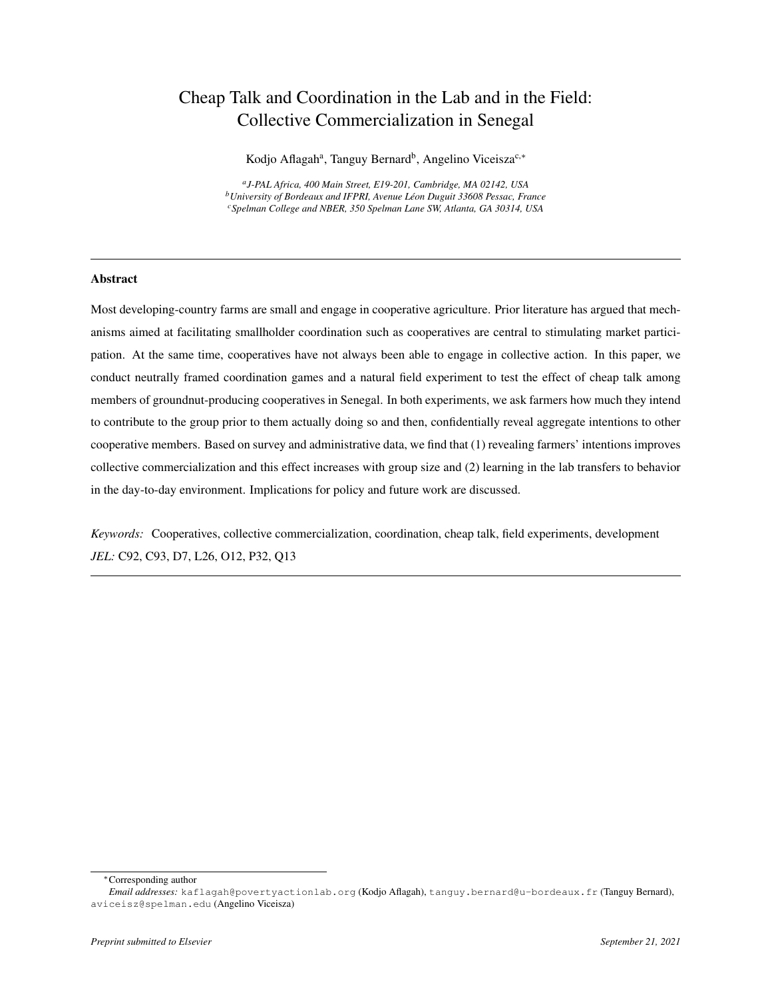# Cheap Talk and Coordination in the Lab and in the Field: Collective Commercialization in Senegal

Kodjo Aflagah<sup>a</sup>, Tanguy Bernard<sup>b</sup>, Angelino Viceisza<sup>c,</sup>\*

*a J-PAL Africa, 400 Main Street, E19-201, Cambridge, MA 02142, USA <sup>b</sup>University of Bordeaux and IFPRI, Avenue Leon Duguit 33608 Pessac, France ´ <sup>c</sup>Spelman College and NBER, 350 Spelman Lane SW, Atlanta, GA 30314, USA*

# Abstract

Most developing-country farms are small and engage in cooperative agriculture. Prior literature has argued that mechanisms aimed at facilitating smallholder coordination such as cooperatives are central to stimulating market participation. At the same time, cooperatives have not always been able to engage in collective action. In this paper, we conduct neutrally framed coordination games and a natural field experiment to test the effect of cheap talk among members of groundnut-producing cooperatives in Senegal. In both experiments, we ask farmers how much they intend to contribute to the group prior to them actually doing so and then, confidentially reveal aggregate intentions to other cooperative members. Based on survey and administrative data, we find that (1) revealing farmers' intentions improves collective commercialization and this effect increases with group size and (2) learning in the lab transfers to behavior in the day-to-day environment. Implications for policy and future work are discussed.

*Keywords:* Cooperatives, collective commercialization, coordination, cheap talk, field experiments, development *JEL:* C92, C93, D7, L26, O12, P32, Q13

<sup>∗</sup>Corresponding author

*Email addresses:* kaflagah@povertyactionlab.org (Kodjo Aflagah), tanguy.bernard@u-bordeaux.fr (Tanguy Bernard), aviceisz@spelman.edu (Angelino Viceisza)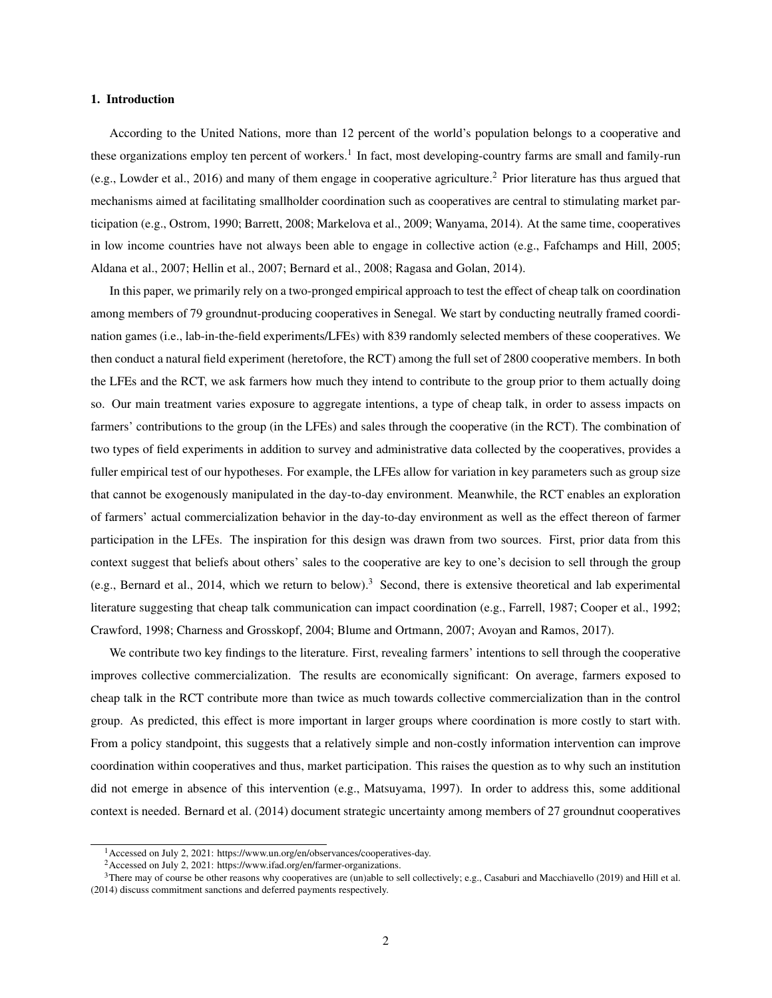#### 1. Introduction

According to the United Nations, more than 12 percent of the world's population belongs to a cooperative and these organizations employ ten percent of workers.<sup>1</sup> In fact, most developing-country farms are small and family-run (e.g., Lowder et al., 2016) and many of them engage in cooperative agriculture.<sup>2</sup> Prior literature has thus argued that mechanisms aimed at facilitating smallholder coordination such as cooperatives are central to stimulating market participation (e.g., Ostrom, 1990; Barrett, 2008; Markelova et al., 2009; Wanyama, 2014). At the same time, cooperatives in low income countries have not always been able to engage in collective action (e.g., Fafchamps and Hill, 2005; Aldana et al., 2007; Hellin et al., 2007; Bernard et al., 2008; Ragasa and Golan, 2014).

In this paper, we primarily rely on a two-pronged empirical approach to test the effect of cheap talk on coordination among members of 79 groundnut-producing cooperatives in Senegal. We start by conducting neutrally framed coordination games (i.e., lab-in-the-field experiments/LFEs) with 839 randomly selected members of these cooperatives. We then conduct a natural field experiment (heretofore, the RCT) among the full set of 2800 cooperative members. In both the LFEs and the RCT, we ask farmers how much they intend to contribute to the group prior to them actually doing so. Our main treatment varies exposure to aggregate intentions, a type of cheap talk, in order to assess impacts on farmers' contributions to the group (in the LFEs) and sales through the cooperative (in the RCT). The combination of two types of field experiments in addition to survey and administrative data collected by the cooperatives, provides a fuller empirical test of our hypotheses. For example, the LFEs allow for variation in key parameters such as group size that cannot be exogenously manipulated in the day-to-day environment. Meanwhile, the RCT enables an exploration of farmers' actual commercialization behavior in the day-to-day environment as well as the effect thereon of farmer participation in the LFEs. The inspiration for this design was drawn from two sources. First, prior data from this context suggest that beliefs about others' sales to the cooperative are key to one's decision to sell through the group (e.g., Bernard et al., 2014, which we return to below).<sup>3</sup> Second, there is extensive theoretical and lab experimental literature suggesting that cheap talk communication can impact coordination (e.g., Farrell, 1987; Cooper et al., 1992; Crawford, 1998; Charness and Grosskopf, 2004; Blume and Ortmann, 2007; Avoyan and Ramos, 2017).

We contribute two key findings to the literature. First, revealing farmers' intentions to sell through the cooperative improves collective commercialization. The results are economically significant: On average, farmers exposed to cheap talk in the RCT contribute more than twice as much towards collective commercialization than in the control group. As predicted, this effect is more important in larger groups where coordination is more costly to start with. From a policy standpoint, this suggests that a relatively simple and non-costly information intervention can improve coordination within cooperatives and thus, market participation. This raises the question as to why such an institution did not emerge in absence of this intervention (e.g., Matsuyama, 1997). In order to address this, some additional context is needed. Bernard et al. (2014) document strategic uncertainty among members of 27 groundnut cooperatives

<sup>1</sup>Accessed on July 2, 2021: https://www.un.org/en/observances/cooperatives-day.

<sup>&</sup>lt;sup>2</sup> Accessed on July 2, 2021: https://www.ifad.org/en/farmer-organizations.

 $3$ There may of course be other reasons why cooperatives are (un)able to sell collectively; e.g., Casaburi and Macchiavello (2019) and Hill et al. (2014) discuss commitment sanctions and deferred payments respectively.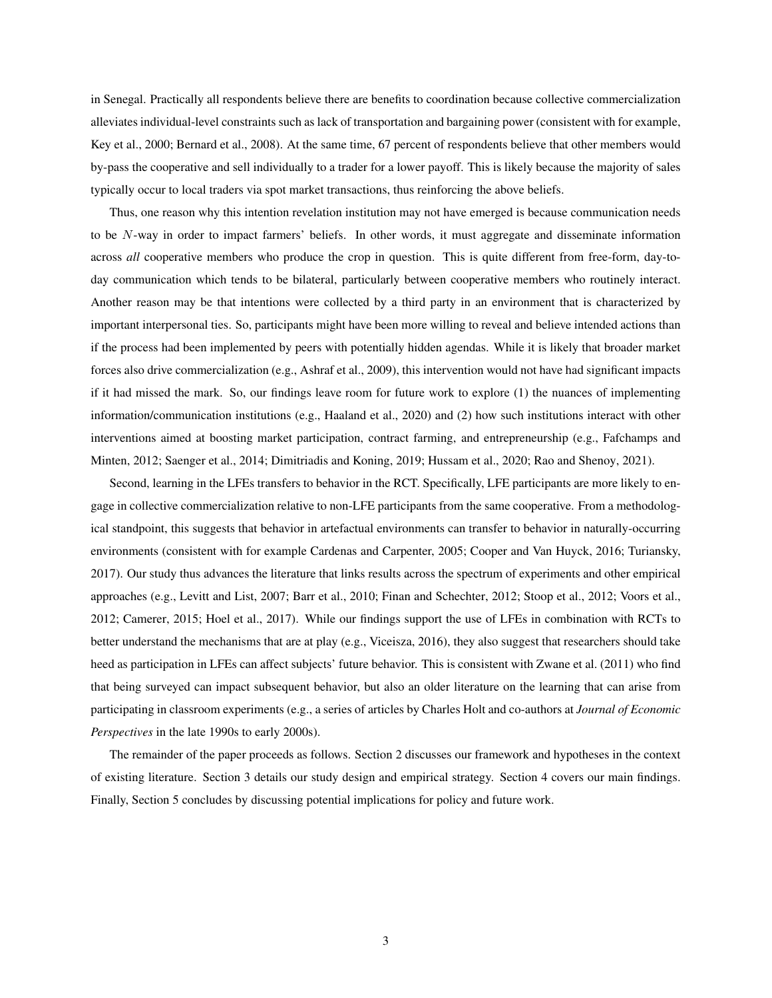in Senegal. Practically all respondents believe there are benefits to coordination because collective commercialization alleviates individual-level constraints such as lack of transportation and bargaining power (consistent with for example, Key et al., 2000; Bernard et al., 2008). At the same time, 67 percent of respondents believe that other members would by-pass the cooperative and sell individually to a trader for a lower payoff. This is likely because the majority of sales typically occur to local traders via spot market transactions, thus reinforcing the above beliefs.

Thus, one reason why this intention revelation institution may not have emerged is because communication needs to be N-way in order to impact farmers' beliefs. In other words, it must aggregate and disseminate information across *all* cooperative members who produce the crop in question. This is quite different from free-form, day-today communication which tends to be bilateral, particularly between cooperative members who routinely interact. Another reason may be that intentions were collected by a third party in an environment that is characterized by important interpersonal ties. So, participants might have been more willing to reveal and believe intended actions than if the process had been implemented by peers with potentially hidden agendas. While it is likely that broader market forces also drive commercialization (e.g., Ashraf et al., 2009), this intervention would not have had significant impacts if it had missed the mark. So, our findings leave room for future work to explore (1) the nuances of implementing information/communication institutions (e.g., Haaland et al., 2020) and (2) how such institutions interact with other interventions aimed at boosting market participation, contract farming, and entrepreneurship (e.g., Fafchamps and Minten, 2012; Saenger et al., 2014; Dimitriadis and Koning, 2019; Hussam et al., 2020; Rao and Shenoy, 2021).

Second, learning in the LFEs transfers to behavior in the RCT. Specifically, LFE participants are more likely to engage in collective commercialization relative to non-LFE participants from the same cooperative. From a methodological standpoint, this suggests that behavior in artefactual environments can transfer to behavior in naturally-occurring environments (consistent with for example Cardenas and Carpenter, 2005; Cooper and Van Huyck, 2016; Turiansky, 2017). Our study thus advances the literature that links results across the spectrum of experiments and other empirical approaches (e.g., Levitt and List, 2007; Barr et al., 2010; Finan and Schechter, 2012; Stoop et al., 2012; Voors et al., 2012; Camerer, 2015; Hoel et al., 2017). While our findings support the use of LFEs in combination with RCTs to better understand the mechanisms that are at play (e.g., Viceisza, 2016), they also suggest that researchers should take heed as participation in LFEs can affect subjects' future behavior. This is consistent with Zwane et al. (2011) who find that being surveyed can impact subsequent behavior, but also an older literature on the learning that can arise from participating in classroom experiments (e.g., a series of articles by Charles Holt and co-authors at *Journal of Economic Perspectives* in the late 1990s to early 2000s).

The remainder of the paper proceeds as follows. Section 2 discusses our framework and hypotheses in the context of existing literature. Section 3 details our study design and empirical strategy. Section 4 covers our main findings. Finally, Section 5 concludes by discussing potential implications for policy and future work.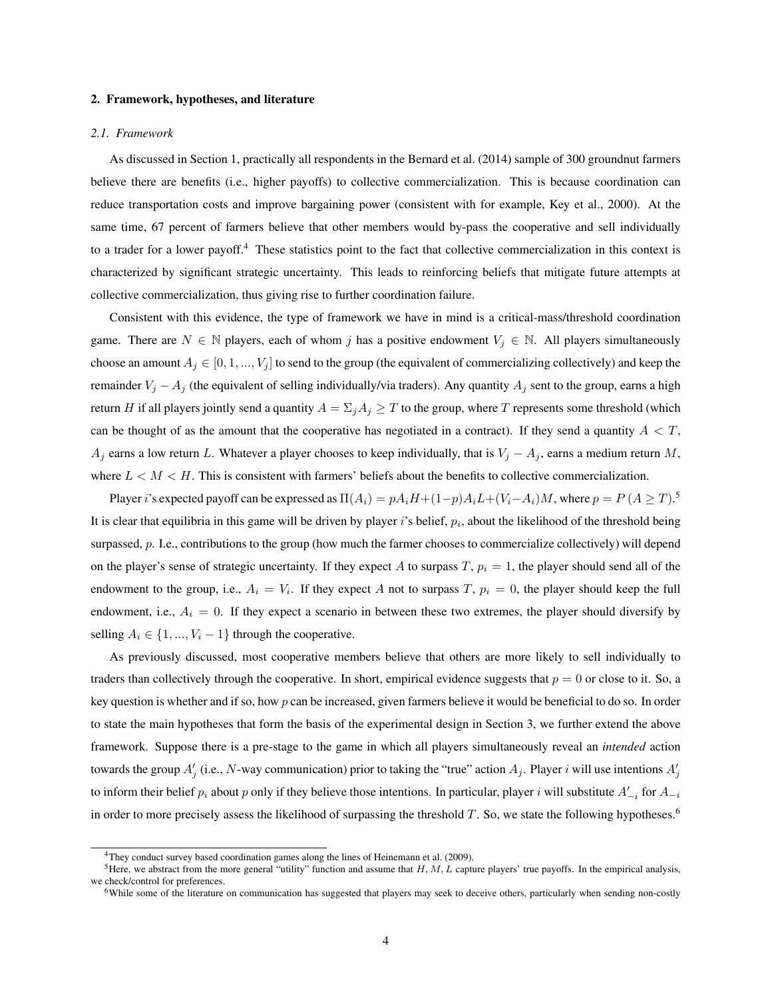#### 2. Framework, hypotheses, and literature

#### *2.1. Framework*

As discussed in Section 1, practically all respondents in the Bernard et al. (2014) sample of 300 groundnut farmers believe there are benefits (i.e., higher payoffs) to collective commercialization. This is because coordination can reduce transportation costs and improve bargaining power (consistent with for example, Key et al., 2000). At the same time, 67 percent of farmers believe that other members would by-pass the cooperative and sell individually to a trader for a lower payoff.<sup>4</sup> These statistics point to the fact that collective commercialization in this context is characterized by significant strategic uncertainty. This leads to reinforcing beliefs that mitigate future attempts at collective commercialization, thus giving rise to further coordination failure.

Consistent with this evidence, the type of framework we have in mind is a critical-mass/threshold coordination game. There are  $N \in \mathbb{N}$  players, each of whom j has a positive endowment  $V_j \in \mathbb{N}$ . All players simultaneously choose an amount  $A_j \in [0, 1, ..., V_j]$  to send to the group (the equivalent of commercializing collectively) and keep the remainder  $V_j - A_j$  (the equivalent of selling individually/via traders). Any quantity  $A_j$  sent to the group, earns a high return H if all players jointly send a quantity  $A = \sum_j A_j \geq T$  to the group, where T represents some threshold (which can be thought of as the amount that the cooperative has negotiated in a contract). If they send a quantity  $A < T$ ,  $A_j$  earns a low return L. Whatever a player chooses to keep individually, that is  $V_j - A_j$ , earns a medium return M, where  $L < M < H$ . This is consistent with farmers' beliefs about the benefits to collective commercialization.

Player i's expected payoff can be expressed as  $\Pi(A_i) = pA_iH + (1-p)A_iL + (V_i-A_i)M$ , where  $p = P(A \geq T)$ .<sup>5</sup> It is clear that equilibria in this game will be driven by player i's belief,  $p_i$ , about the likelihood of the threshold being surpassed, p. I.e., contributions to the group (how much the farmer chooses to commercialize collectively) will depend on the player's sense of strategic uncertainty. If they expect A to surpass  $T$ ,  $p_i = 1$ , the player should send all of the endowment to the group, i.e.,  $A_i = V_i$ . If they expect A not to surpass T,  $p_i = 0$ , the player should keep the full endowment, i.e.,  $A_i = 0$ . If they expect a scenario in between these two extremes, the player should diversify by selling  $A_i$  ∈ {1, ...,  $V_i$  − 1} through the cooperative.

As previously discussed, most cooperative members believe that others are more likely to sell individually to traders than collectively through the cooperative. In short, empirical evidence suggests that  $p = 0$  or close to it. So, a key question is whether and if so, how p can be increased, given farmers believe it would be beneficial to do so. In order to state the main hypotheses that form the basis of the experimental design in Section 3, we further extend the above framework. Suppose there is a pre-stage to the game in which all players simultaneously reveal an *intended* action towards the group  $A'_j$  (i.e., N-way communication) prior to taking the "true" action  $A_j$ . Player i will use intentions  $A'_j$ to inform their belief  $p_i$  about p only if they believe those intentions. In particular, player i will substitute  $A'_{-i}$  for  $A_{-i}$ in order to more precisely assess the likelihood of surpassing the threshold  $T$ . So, we state the following hypotheses.<sup>6</sup>

<sup>&</sup>lt;sup>4</sup>They conduct survey based coordination games along the lines of Heinemann et al. (2009).

<sup>&</sup>lt;sup>5</sup>Here, we abstract from the more general "utility" function and assume that  $H, M, L$  capture players' true payoffs. In the empirical analysis, we check/control for preferences.

<sup>&</sup>lt;sup>6</sup>While some of the literature on communication has suggested that players may seek to deceive others, particularly when sending non-costly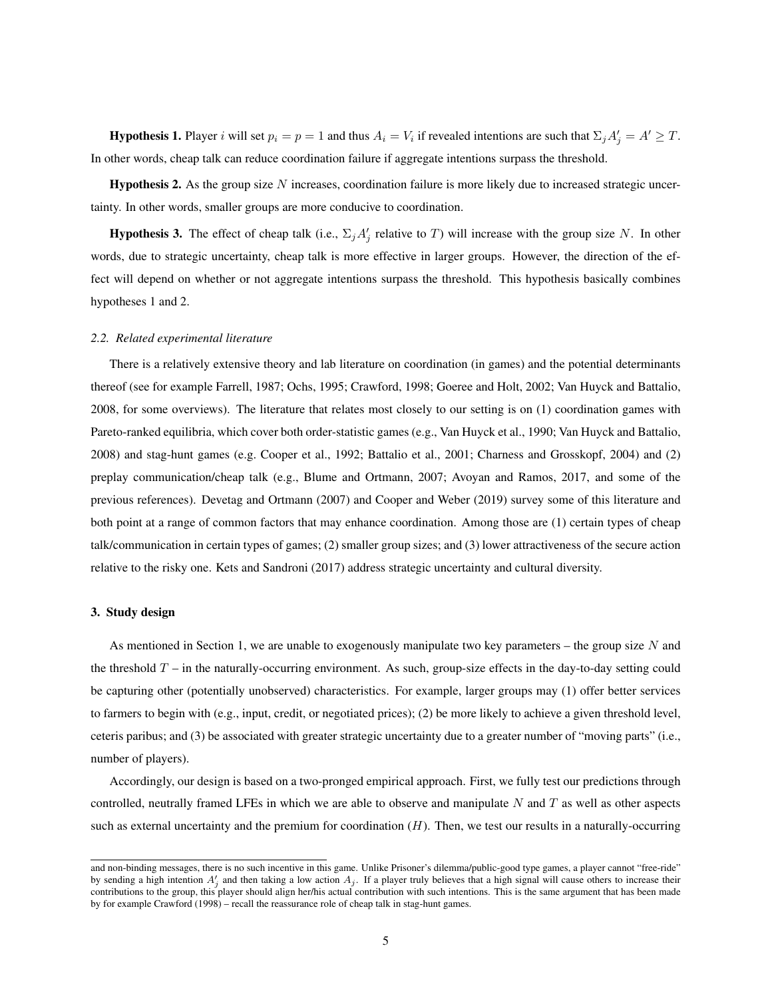**Hypothesis 1.** Player i will set  $p_i = p = 1$  and thus  $A_i = V_i$  if revealed intentions are such that  $\Sigma_j A'_j = A' \geq T$ . In other words, cheap talk can reduce coordination failure if aggregate intentions surpass the threshold.

**Hypothesis 2.** As the group size  $N$  increases, coordination failure is more likely due to increased strategic uncertainty. In other words, smaller groups are more conducive to coordination.

**Hypothesis 3.** The effect of cheap talk (i.e.,  $\Sigma_j A_j'$  relative to T) will increase with the group size N. In other words, due to strategic uncertainty, cheap talk is more effective in larger groups. However, the direction of the effect will depend on whether or not aggregate intentions surpass the threshold. This hypothesis basically combines hypotheses 1 and 2.

#### *2.2. Related experimental literature*

There is a relatively extensive theory and lab literature on coordination (in games) and the potential determinants thereof (see for example Farrell, 1987; Ochs, 1995; Crawford, 1998; Goeree and Holt, 2002; Van Huyck and Battalio, 2008, for some overviews). The literature that relates most closely to our setting is on (1) coordination games with Pareto-ranked equilibria, which cover both order-statistic games (e.g., Van Huyck et al., 1990; Van Huyck and Battalio, 2008) and stag-hunt games (e.g. Cooper et al., 1992; Battalio et al., 2001; Charness and Grosskopf, 2004) and (2) preplay communication/cheap talk (e.g., Blume and Ortmann, 2007; Avoyan and Ramos, 2017, and some of the previous references). Devetag and Ortmann (2007) and Cooper and Weber (2019) survey some of this literature and both point at a range of common factors that may enhance coordination. Among those are (1) certain types of cheap talk/communication in certain types of games; (2) smaller group sizes; and (3) lower attractiveness of the secure action relative to the risky one. Kets and Sandroni (2017) address strategic uncertainty and cultural diversity.

## 3. Study design

As mentioned in Section 1, we are unable to exogenously manipulate two key parameters – the group size  $N$  and the threshold  $T$  – in the naturally-occurring environment. As such, group-size effects in the day-to-day setting could be capturing other (potentially unobserved) characteristics. For example, larger groups may (1) offer better services to farmers to begin with (e.g., input, credit, or negotiated prices); (2) be more likely to achieve a given threshold level, ceteris paribus; and (3) be associated with greater strategic uncertainty due to a greater number of "moving parts" (i.e., number of players).

Accordingly, our design is based on a two-pronged empirical approach. First, we fully test our predictions through controlled, neutrally framed LFEs in which we are able to observe and manipulate  $N$  and  $T$  as well as other aspects such as external uncertainty and the premium for coordination  $(H)$ . Then, we test our results in a naturally-occurring

and non-binding messages, there is no such incentive in this game. Unlike Prisoner's dilemma/public-good type games, a player cannot "free-ride" by sending a high intention  $A'_j$  and then taking a low action  $A_j$ . If a player truly believes that a high signal will cause others to increase their contributions to the group, this player should align her/his actual contribution with such intentions. This is the same argument that has been made by for example Crawford (1998) – recall the reassurance role of cheap talk in stag-hunt games.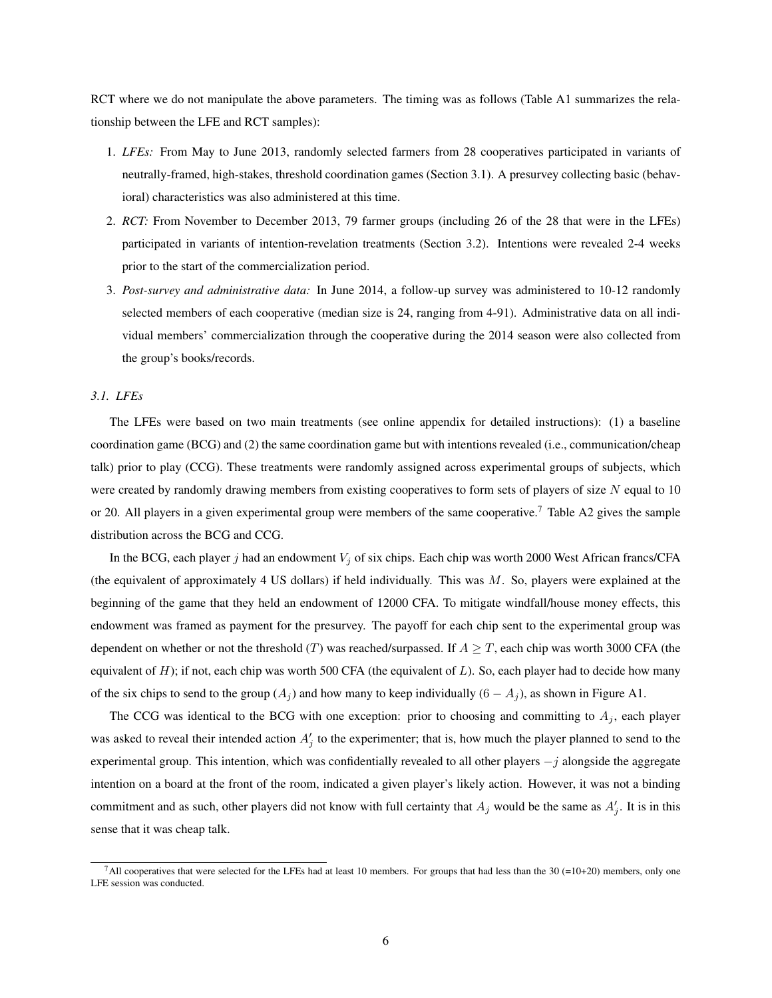RCT where we do not manipulate the above parameters. The timing was as follows (Table A1 summarizes the relationship between the LFE and RCT samples):

- 1. *LFEs:* From May to June 2013, randomly selected farmers from 28 cooperatives participated in variants of neutrally-framed, high-stakes, threshold coordination games (Section 3.1). A presurvey collecting basic (behavioral) characteristics was also administered at this time.
- 2. *RCT:* From November to December 2013, 79 farmer groups (including 26 of the 28 that were in the LFEs) participated in variants of intention-revelation treatments (Section 3.2). Intentions were revealed 2-4 weeks prior to the start of the commercialization period.
- 3. *Post-survey and administrative data:* In June 2014, a follow-up survey was administered to 10-12 randomly selected members of each cooperative (median size is 24, ranging from 4-91). Administrative data on all individual members' commercialization through the cooperative during the 2014 season were also collected from the group's books/records.

# *3.1. LFEs*

The LFEs were based on two main treatments (see online appendix for detailed instructions): (1) a baseline coordination game (BCG) and (2) the same coordination game but with intentions revealed (i.e., communication/cheap talk) prior to play (CCG). These treatments were randomly assigned across experimental groups of subjects, which were created by randomly drawing members from existing cooperatives to form sets of players of size  $N$  equal to 10 or 20. All players in a given experimental group were members of the same cooperative.<sup>7</sup> Table A2 gives the sample distribution across the BCG and CCG.

In the BCG, each player j had an endowment  $V_i$  of six chips. Each chip was worth 2000 West African francs/CFA (the equivalent of approximately 4 US dollars) if held individually. This was  $M$ . So, players were explained at the beginning of the game that they held an endowment of 12000 CFA. To mitigate windfall/house money effects, this endowment was framed as payment for the presurvey. The payoff for each chip sent to the experimental group was dependent on whether or not the threshold (T) was reached/surpassed. If  $A \geq T$ , each chip was worth 3000 CFA (the equivalent of  $H$ ); if not, each chip was worth 500 CFA (the equivalent of  $L$ ). So, each player had to decide how many of the six chips to send to the group  $(A_j)$  and how many to keep individually  $(6 - A_j)$ , as shown in Figure A1.

The CCG was identical to the BCG with one exception: prior to choosing and committing to  $A_j$ , each player was asked to reveal their intended action  $A'_j$  to the experimenter; that is, how much the player planned to send to the experimental group. This intention, which was confidentially revealed to all other players  $-j$  alongside the aggregate intention on a board at the front of the room, indicated a given player's likely action. However, it was not a binding commitment and as such, other players did not know with full certainty that  $A_j$  would be the same as  $A'_j$ . It is in this sense that it was cheap talk.

 $^7$ All cooperatives that were selected for the LFEs had at least 10 members. For groups that had less than the 30 (=10+20) members, only one LFE session was conducted.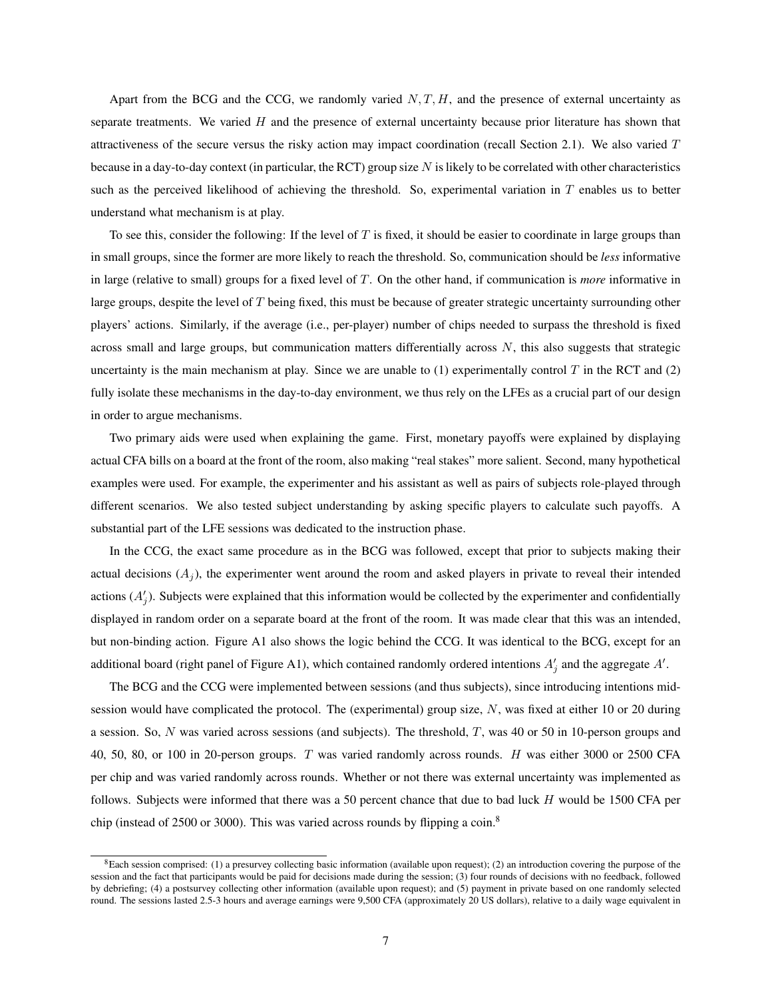Apart from the BCG and the CCG, we randomly varied  $N, T, H$ , and the presence of external uncertainty as separate treatments. We varied  $H$  and the presence of external uncertainty because prior literature has shown that attractiveness of the secure versus the risky action may impact coordination (recall Section 2.1). We also varied  $T$ because in a day-to-day context (in particular, the RCT) group size  $N$  is likely to be correlated with other characteristics such as the perceived likelihood of achieving the threshold. So, experimental variation in  $T$  enables us to better understand what mechanism is at play.

To see this, consider the following: If the level of  $T$  is fixed, it should be easier to coordinate in large groups than in small groups, since the former are more likely to reach the threshold. So, communication should be *less* informative in large (relative to small) groups for a fixed level of T. On the other hand, if communication is *more* informative in large groups, despite the level of T being fixed, this must be because of greater strategic uncertainty surrounding other players' actions. Similarly, if the average (i.e., per-player) number of chips needed to surpass the threshold is fixed across small and large groups, but communication matters differentially across  $N$ , this also suggests that strategic uncertainty is the main mechanism at play. Since we are unable to  $(1)$  experimentally control T in the RCT and  $(2)$ fully isolate these mechanisms in the day-to-day environment, we thus rely on the LFEs as a crucial part of our design in order to argue mechanisms.

Two primary aids were used when explaining the game. First, monetary payoffs were explained by displaying actual CFA bills on a board at the front of the room, also making "real stakes" more salient. Second, many hypothetical examples were used. For example, the experimenter and his assistant as well as pairs of subjects role-played through different scenarios. We also tested subject understanding by asking specific players to calculate such payoffs. A substantial part of the LFE sessions was dedicated to the instruction phase.

In the CCG, the exact same procedure as in the BCG was followed, except that prior to subjects making their actual decisions  $(A_i)$ , the experimenter went around the room and asked players in private to reveal their intended actions  $(A'_j)$ . Subjects were explained that this information would be collected by the experimenter and confidentially displayed in random order on a separate board at the front of the room. It was made clear that this was an intended, but non-binding action. Figure A1 also shows the logic behind the CCG. It was identical to the BCG, except for an additional board (right panel of Figure A1), which contained randomly ordered intentions  $A'_j$  and the aggregate  $A'$ .

The BCG and the CCG were implemented between sessions (and thus subjects), since introducing intentions midsession would have complicated the protocol. The (experimental) group size,  $N$ , was fixed at either 10 or 20 during a session. So,  $N$  was varied across sessions (and subjects). The threshold,  $T$ , was 40 or 50 in 10-person groups and 40, 50, 80, or 100 in 20-person groups. T was varied randomly across rounds. H was either 3000 or 2500 CFA per chip and was varied randomly across rounds. Whether or not there was external uncertainty was implemented as follows. Subjects were informed that there was a 50 percent chance that due to bad luck H would be 1500 CFA per chip (instead of 2500 or 3000). This was varied across rounds by flipping a coin.<sup>8</sup>

<sup>&</sup>lt;sup>8</sup>Each session comprised: (1) a presurvey collecting basic information (available upon request); (2) an introduction covering the purpose of the session and the fact that participants would be paid for decisions made during the session; (3) four rounds of decisions with no feedback, followed by debriefing; (4) a postsurvey collecting other information (available upon request); and (5) payment in private based on one randomly selected round. The sessions lasted 2.5-3 hours and average earnings were 9,500 CFA (approximately 20 US dollars), relative to a daily wage equivalent in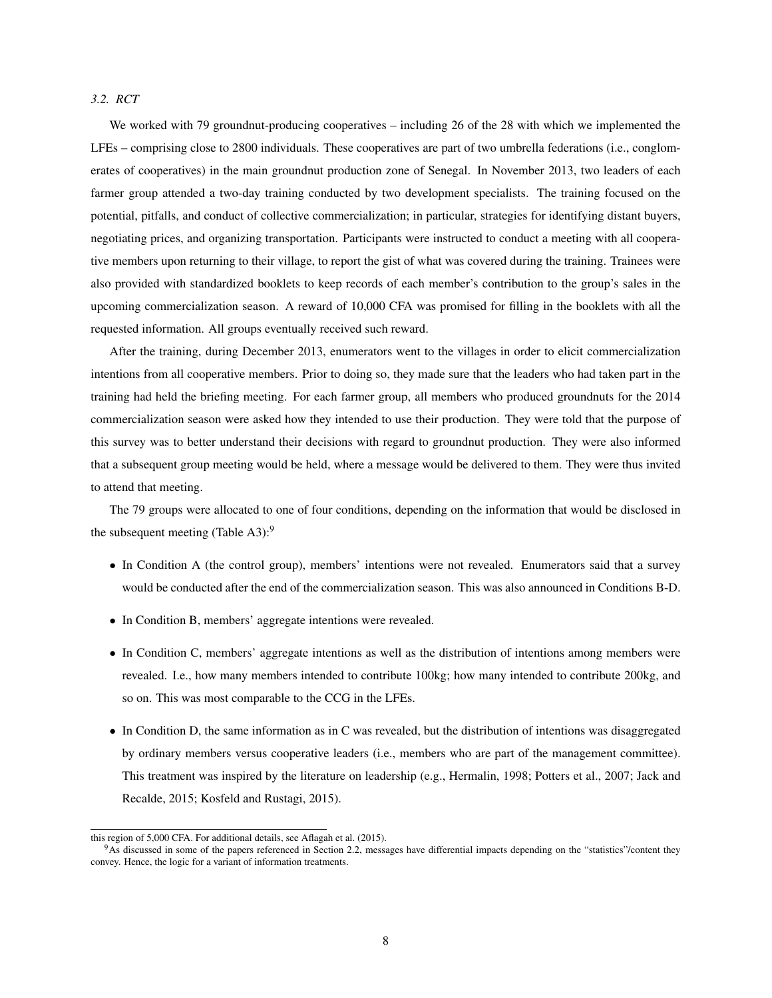#### *3.2. RCT*

We worked with 79 groundnut-producing cooperatives – including 26 of the 28 with which we implemented the LFEs – comprising close to 2800 individuals. These cooperatives are part of two umbrella federations (i.e., conglomerates of cooperatives) in the main groundnut production zone of Senegal. In November 2013, two leaders of each farmer group attended a two-day training conducted by two development specialists. The training focused on the potential, pitfalls, and conduct of collective commercialization; in particular, strategies for identifying distant buyers, negotiating prices, and organizing transportation. Participants were instructed to conduct a meeting with all cooperative members upon returning to their village, to report the gist of what was covered during the training. Trainees were also provided with standardized booklets to keep records of each member's contribution to the group's sales in the upcoming commercialization season. A reward of 10,000 CFA was promised for filling in the booklets with all the requested information. All groups eventually received such reward.

After the training, during December 2013, enumerators went to the villages in order to elicit commercialization intentions from all cooperative members. Prior to doing so, they made sure that the leaders who had taken part in the training had held the briefing meeting. For each farmer group, all members who produced groundnuts for the 2014 commercialization season were asked how they intended to use their production. They were told that the purpose of this survey was to better understand their decisions with regard to groundnut production. They were also informed that a subsequent group meeting would be held, where a message would be delivered to them. They were thus invited to attend that meeting.

The 79 groups were allocated to one of four conditions, depending on the information that would be disclosed in the subsequent meeting (Table A3): $9$ 

- In Condition A (the control group), members' intentions were not revealed. Enumerators said that a survey would be conducted after the end of the commercialization season. This was also announced in Conditions B-D.
- In Condition B, members' aggregate intentions were revealed.
- In Condition C, members' aggregate intentions as well as the distribution of intentions among members were revealed. I.e., how many members intended to contribute 100kg; how many intended to contribute 200kg, and so on. This was most comparable to the CCG in the LFEs.
- In Condition D, the same information as in C was revealed, but the distribution of intentions was disaggregated by ordinary members versus cooperative leaders (i.e., members who are part of the management committee). This treatment was inspired by the literature on leadership (e.g., Hermalin, 1998; Potters et al., 2007; Jack and Recalde, 2015; Kosfeld and Rustagi, 2015).

this region of 5,000 CFA. For additional details, see Aflagah et al. (2015).

<sup>&</sup>lt;sup>9</sup>As discussed in some of the papers referenced in Section 2.2, messages have differential impacts depending on the "statistics"/content they convey. Hence, the logic for a variant of information treatments.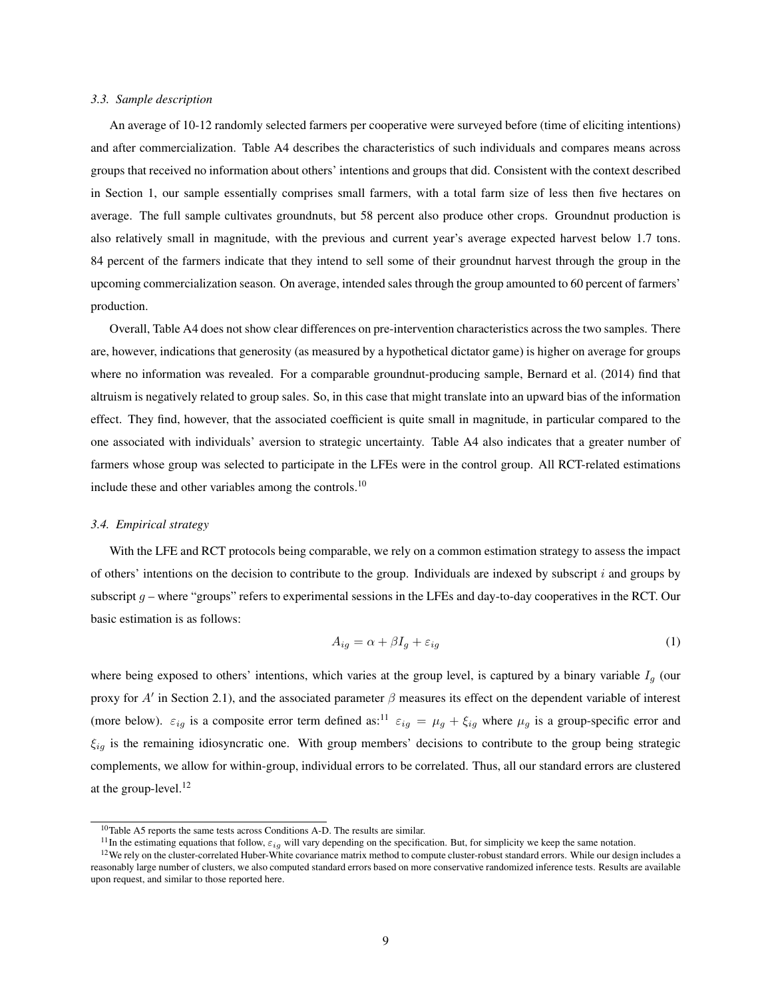#### *3.3. Sample description*

An average of 10-12 randomly selected farmers per cooperative were surveyed before (time of eliciting intentions) and after commercialization. Table A4 describes the characteristics of such individuals and compares means across groups that received no information about others' intentions and groups that did. Consistent with the context described in Section 1, our sample essentially comprises small farmers, with a total farm size of less then five hectares on average. The full sample cultivates groundnuts, but 58 percent also produce other crops. Groundnut production is also relatively small in magnitude, with the previous and current year's average expected harvest below 1.7 tons. 84 percent of the farmers indicate that they intend to sell some of their groundnut harvest through the group in the upcoming commercialization season. On average, intended sales through the group amounted to 60 percent of farmers' production.

Overall, Table A4 does not show clear differences on pre-intervention characteristics across the two samples. There are, however, indications that generosity (as measured by a hypothetical dictator game) is higher on average for groups where no information was revealed. For a comparable groundnut-producing sample, Bernard et al. (2014) find that altruism is negatively related to group sales. So, in this case that might translate into an upward bias of the information effect. They find, however, that the associated coefficient is quite small in magnitude, in particular compared to the one associated with individuals' aversion to strategic uncertainty. Table A4 also indicates that a greater number of farmers whose group was selected to participate in the LFEs were in the control group. All RCT-related estimations include these and other variables among the controls.<sup>10</sup>

# *3.4. Empirical strategy*

With the LFE and RCT protocols being comparable, we rely on a common estimation strategy to assess the impact of others' intentions on the decision to contribute to the group. Individuals are indexed by subscript  $i$  and groups by subscript  $q$  – where "groups" refers to experimental sessions in the LFEs and day-to-day cooperatives in the RCT. Our basic estimation is as follows:

$$
A_{ig} = \alpha + \beta I_g + \varepsilon_{ig} \tag{1}
$$

where being exposed to others' intentions, which varies at the group level, is captured by a binary variable  $I_q$  (our proxy for  $A'$  in Section 2.1), and the associated parameter  $\beta$  measures its effect on the dependent variable of interest (more below).  $\varepsilon_{ig}$  is a composite error term defined as:<sup>11</sup>  $\varepsilon_{ig} = \mu_g + \xi_{ig}$  where  $\mu_g$  is a group-specific error and  $\xi_{ig}$  is the remaining idiosyncratic one. With group members' decisions to contribute to the group being strategic complements, we allow for within-group, individual errors to be correlated. Thus, all our standard errors are clustered at the group-level.<sup>12</sup>

<sup>&</sup>lt;sup>10</sup>Table A5 reports the same tests across Conditions A-D. The results are similar.

<sup>&</sup>lt;sup>11</sup>In the estimating equations that follow,  $\varepsilon_{iq}$  will vary depending on the specification. But, for simplicity we keep the same notation.

 $12$ We rely on the cluster-correlated Huber-White covariance matrix method to compute cluster-robust standard errors. While our design includes a reasonably large number of clusters, we also computed standard errors based on more conservative randomized inference tests. Results are available upon request, and similar to those reported here.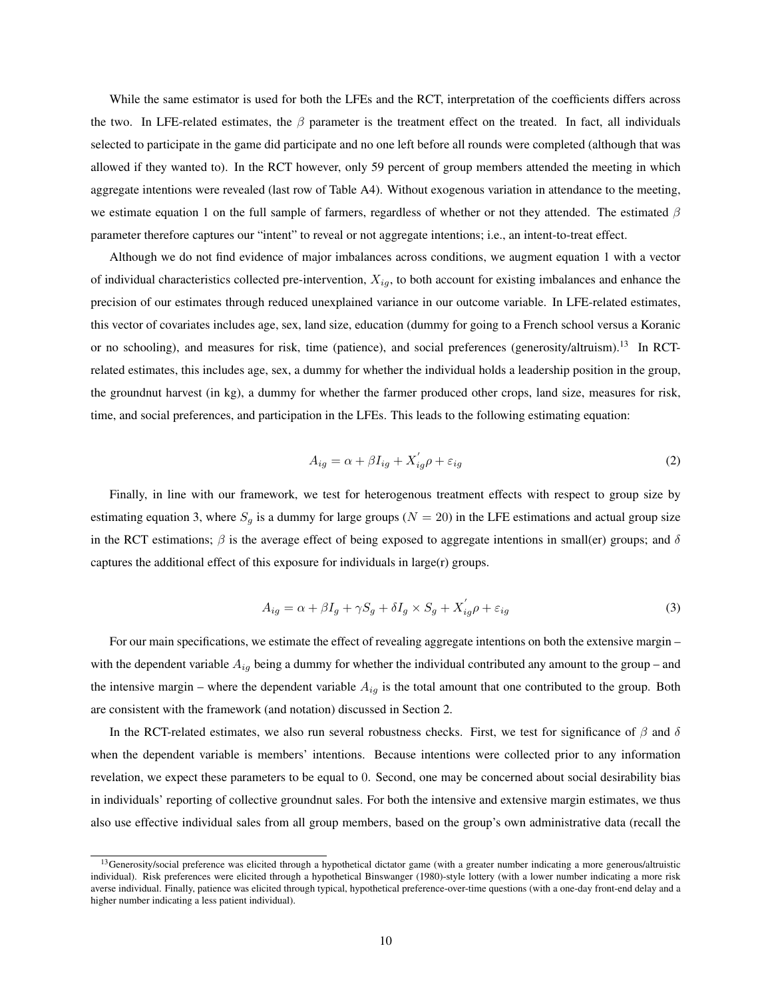While the same estimator is used for both the LFEs and the RCT, interpretation of the coefficients differs across the two. In LFE-related estimates, the  $\beta$  parameter is the treatment effect on the treated. In fact, all individuals selected to participate in the game did participate and no one left before all rounds were completed (although that was allowed if they wanted to). In the RCT however, only 59 percent of group members attended the meeting in which aggregate intentions were revealed (last row of Table A4). Without exogenous variation in attendance to the meeting, we estimate equation 1 on the full sample of farmers, regardless of whether or not they attended. The estimated  $\beta$ parameter therefore captures our "intent" to reveal or not aggregate intentions; i.e., an intent-to-treat effect.

Although we do not find evidence of major imbalances across conditions, we augment equation 1 with a vector of individual characteristics collected pre-intervention,  $X_{iq}$ , to both account for existing imbalances and enhance the precision of our estimates through reduced unexplained variance in our outcome variable. In LFE-related estimates, this vector of covariates includes age, sex, land size, education (dummy for going to a French school versus a Koranic or no schooling), and measures for risk, time (patience), and social preferences (generosity/altruism).<sup>13</sup> In RCTrelated estimates, this includes age, sex, a dummy for whether the individual holds a leadership position in the group, the groundnut harvest (in kg), a dummy for whether the farmer produced other crops, land size, measures for risk, time, and social preferences, and participation in the LFEs. This leads to the following estimating equation:

$$
A_{ig} = \alpha + \beta I_{ig} + X_{ig}' \rho + \varepsilon_{ig} \tag{2}
$$

Finally, in line with our framework, we test for heterogenous treatment effects with respect to group size by estimating equation 3, where  $S_g$  is a dummy for large groups ( $N = 20$ ) in the LFE estimations and actual group size in the RCT estimations;  $\beta$  is the average effect of being exposed to aggregate intentions in small(er) groups; and  $\delta$ captures the additional effect of this exposure for individuals in large(r) groups.

$$
A_{ig} = \alpha + \beta I_g + \gamma S_g + \delta I_g \times S_g + X_{ig}' \rho + \varepsilon_{ig}
$$
\n(3)

For our main specifications, we estimate the effect of revealing aggregate intentions on both the extensive margin – with the dependent variable  $A_{ig}$  being a dummy for whether the individual contributed any amount to the group – and the intensive margin – where the dependent variable  $A_{iq}$  is the total amount that one contributed to the group. Both are consistent with the framework (and notation) discussed in Section 2.

In the RCT-related estimates, we also run several robustness checks. First, we test for significance of  $\beta$  and  $\delta$ when the dependent variable is members' intentions. Because intentions were collected prior to any information revelation, we expect these parameters to be equal to 0. Second, one may be concerned about social desirability bias in individuals' reporting of collective groundnut sales. For both the intensive and extensive margin estimates, we thus also use effective individual sales from all group members, based on the group's own administrative data (recall the

<sup>&</sup>lt;sup>13</sup>Generosity/social preference was elicited through a hypothetical dictator game (with a greater number indicating a more generous/altruistic individual). Risk preferences were elicited through a hypothetical Binswanger (1980)-style lottery (with a lower number indicating a more risk averse individual. Finally, patience was elicited through typical, hypothetical preference-over-time questions (with a one-day front-end delay and a higher number indicating a less patient individual).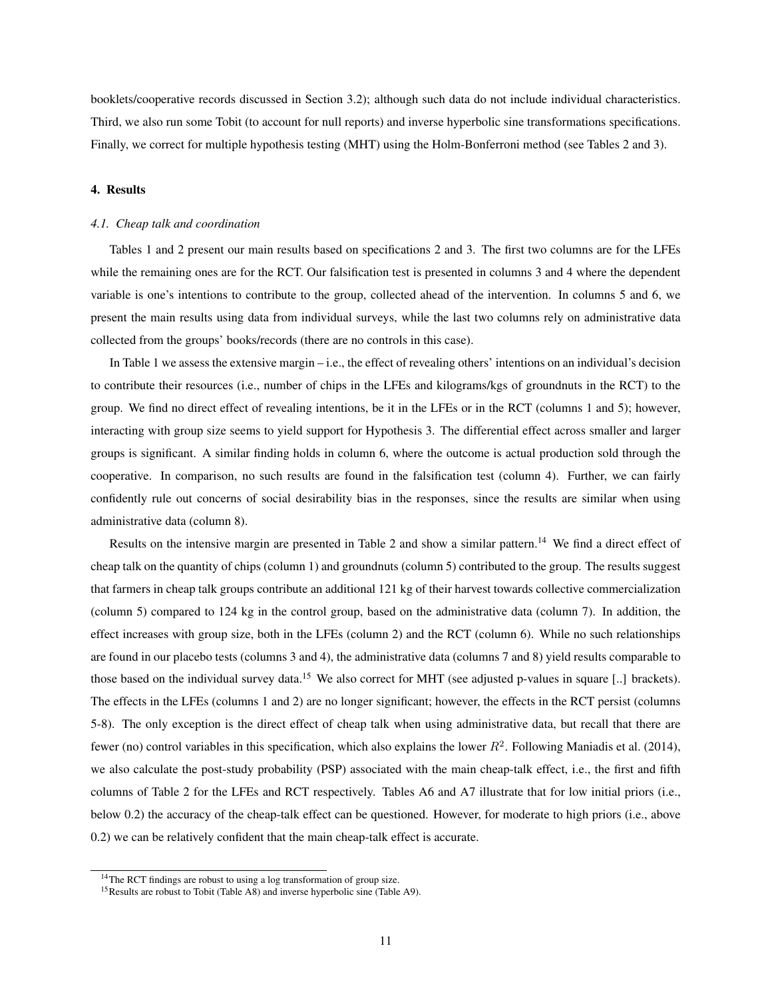booklets/cooperative records discussed in Section 3.2); although such data do not include individual characteristics. Third, we also run some Tobit (to account for null reports) and inverse hyperbolic sine transformations specifications. Finally, we correct for multiple hypothesis testing (MHT) using the Holm-Bonferroni method (see Tables 2 and 3).

#### 4. Results

## *4.1. Cheap talk and coordination*

Tables 1 and 2 present our main results based on specifications 2 and 3. The first two columns are for the LFEs while the remaining ones are for the RCT. Our falsification test is presented in columns 3 and 4 where the dependent variable is one's intentions to contribute to the group, collected ahead of the intervention. In columns 5 and 6, we present the main results using data from individual surveys, while the last two columns rely on administrative data collected from the groups' books/records (there are no controls in this case).

In Table 1 we assess the extensive margin – i.e., the effect of revealing others' intentions on an individual's decision to contribute their resources (i.e., number of chips in the LFEs and kilograms/kgs of groundnuts in the RCT) to the group. We find no direct effect of revealing intentions, be it in the LFEs or in the RCT (columns 1 and 5); however, interacting with group size seems to yield support for Hypothesis 3. The differential effect across smaller and larger groups is significant. A similar finding holds in column 6, where the outcome is actual production sold through the cooperative. In comparison, no such results are found in the falsification test (column 4). Further, we can fairly confidently rule out concerns of social desirability bias in the responses, since the results are similar when using administrative data (column 8).

Results on the intensive margin are presented in Table 2 and show a similar pattern.<sup>14</sup> We find a direct effect of cheap talk on the quantity of chips (column 1) and groundnuts (column 5) contributed to the group. The results suggest that farmers in cheap talk groups contribute an additional 121 kg of their harvest towards collective commercialization (column 5) compared to 124 kg in the control group, based on the administrative data (column 7). In addition, the effect increases with group size, both in the LFEs (column 2) and the RCT (column 6). While no such relationships are found in our placebo tests (columns 3 and 4), the administrative data (columns 7 and 8) yield results comparable to those based on the individual survey data.<sup>15</sup> We also correct for MHT (see adjusted p-values in square [..] brackets). The effects in the LFEs (columns 1 and 2) are no longer significant; however, the effects in the RCT persist (columns 5-8). The only exception is the direct effect of cheap talk when using administrative data, but recall that there are fewer (no) control variables in this specification, which also explains the lower  $R^2$ . Following Maniadis et al. (2014), we also calculate the post-study probability (PSP) associated with the main cheap-talk effect, i.e., the first and fifth columns of Table 2 for the LFEs and RCT respectively. Tables A6 and A7 illustrate that for low initial priors (i.e., below 0.2) the accuracy of the cheap-talk effect can be questioned. However, for moderate to high priors (i.e., above 0.2) we can be relatively confident that the main cheap-talk effect is accurate.

<sup>&</sup>lt;sup>14</sup>The RCT findings are robust to using a log transformation of group size.

<sup>&</sup>lt;sup>15</sup>Results are robust to Tobit (Table A8) and inverse hyperbolic sine (Table A9).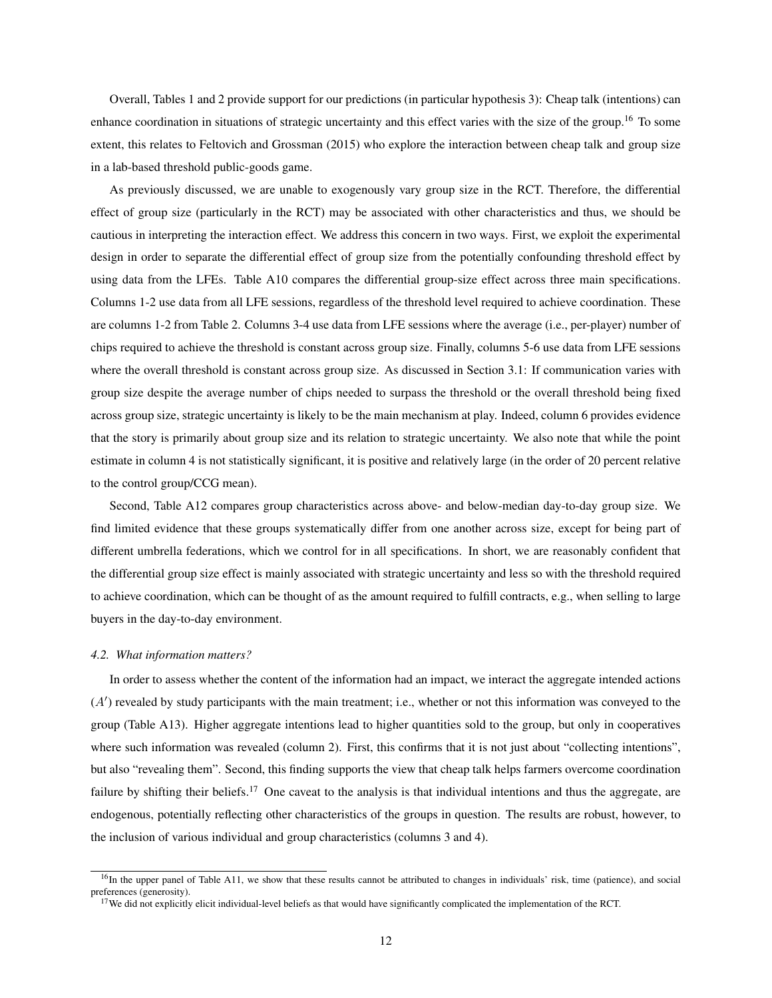Overall, Tables 1 and 2 provide support for our predictions (in particular hypothesis 3): Cheap talk (intentions) can enhance coordination in situations of strategic uncertainty and this effect varies with the size of the group.<sup>16</sup> To some extent, this relates to Feltovich and Grossman (2015) who explore the interaction between cheap talk and group size in a lab-based threshold public-goods game.

As previously discussed, we are unable to exogenously vary group size in the RCT. Therefore, the differential effect of group size (particularly in the RCT) may be associated with other characteristics and thus, we should be cautious in interpreting the interaction effect. We address this concern in two ways. First, we exploit the experimental design in order to separate the differential effect of group size from the potentially confounding threshold effect by using data from the LFEs. Table A10 compares the differential group-size effect across three main specifications. Columns 1-2 use data from all LFE sessions, regardless of the threshold level required to achieve coordination. These are columns 1-2 from Table 2. Columns 3-4 use data from LFE sessions where the average (i.e., per-player) number of chips required to achieve the threshold is constant across group size. Finally, columns 5-6 use data from LFE sessions where the overall threshold is constant across group size. As discussed in Section 3.1: If communication varies with group size despite the average number of chips needed to surpass the threshold or the overall threshold being fixed across group size, strategic uncertainty is likely to be the main mechanism at play. Indeed, column 6 provides evidence that the story is primarily about group size and its relation to strategic uncertainty. We also note that while the point estimate in column 4 is not statistically significant, it is positive and relatively large (in the order of 20 percent relative to the control group/CCG mean).

Second, Table A12 compares group characteristics across above- and below-median day-to-day group size. We find limited evidence that these groups systematically differ from one another across size, except for being part of different umbrella federations, which we control for in all specifications. In short, we are reasonably confident that the differential group size effect is mainly associated with strategic uncertainty and less so with the threshold required to achieve coordination, which can be thought of as the amount required to fulfill contracts, e.g., when selling to large buyers in the day-to-day environment.

#### *4.2. What information matters?*

In order to assess whether the content of the information had an impact, we interact the aggregate intended actions  $(A')$  revealed by study participants with the main treatment; i.e., whether or not this information was conveyed to the group (Table A13). Higher aggregate intentions lead to higher quantities sold to the group, but only in cooperatives where such information was revealed (column 2). First, this confirms that it is not just about "collecting intentions", but also "revealing them". Second, this finding supports the view that cheap talk helps farmers overcome coordination failure by shifting their beliefs.<sup>17</sup> One caveat to the analysis is that individual intentions and thus the aggregate, are endogenous, potentially reflecting other characteristics of the groups in question. The results are robust, however, to the inclusion of various individual and group characteristics (columns 3 and 4).

 $16$ In the upper panel of Table A11, we show that these results cannot be attributed to changes in individuals' risk, time (patience), and social preferences (generosity).

<sup>&</sup>lt;sup>17</sup>We did not explicitly elicit individual-level beliefs as that would have significantly complicated the implementation of the RCT.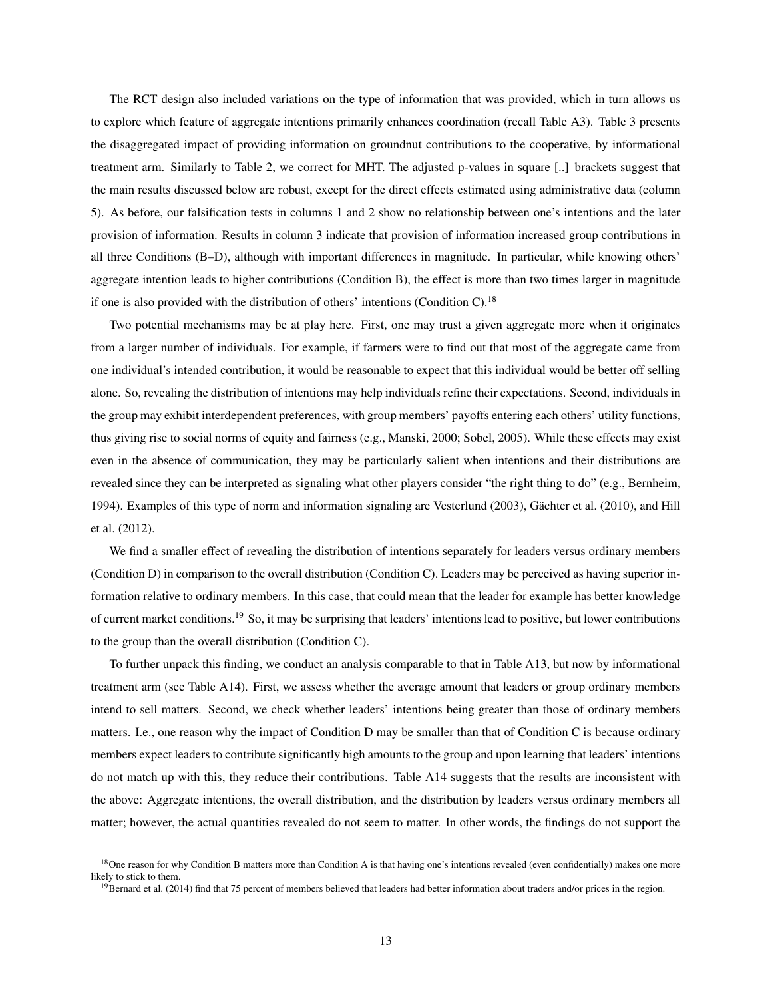The RCT design also included variations on the type of information that was provided, which in turn allows us to explore which feature of aggregate intentions primarily enhances coordination (recall Table A3). Table 3 presents the disaggregated impact of providing information on groundnut contributions to the cooperative, by informational treatment arm. Similarly to Table 2, we correct for MHT. The adjusted p-values in square [..] brackets suggest that the main results discussed below are robust, except for the direct effects estimated using administrative data (column 5). As before, our falsification tests in columns 1 and 2 show no relationship between one's intentions and the later provision of information. Results in column 3 indicate that provision of information increased group contributions in all three Conditions (B–D), although with important differences in magnitude. In particular, while knowing others' aggregate intention leads to higher contributions (Condition B), the effect is more than two times larger in magnitude if one is also provided with the distribution of others' intentions (Condition C).<sup>18</sup>

Two potential mechanisms may be at play here. First, one may trust a given aggregate more when it originates from a larger number of individuals. For example, if farmers were to find out that most of the aggregate came from one individual's intended contribution, it would be reasonable to expect that this individual would be better off selling alone. So, revealing the distribution of intentions may help individuals refine their expectations. Second, individuals in the group may exhibit interdependent preferences, with group members' payoffs entering each others' utility functions, thus giving rise to social norms of equity and fairness (e.g., Manski, 2000; Sobel, 2005). While these effects may exist even in the absence of communication, they may be particularly salient when intentions and their distributions are revealed since they can be interpreted as signaling what other players consider "the right thing to do" (e.g., Bernheim, 1994). Examples of this type of norm and information signaling are Vesterlund (2003), Gächter et al. (2010), and Hill et al. (2012).

We find a smaller effect of revealing the distribution of intentions separately for leaders versus ordinary members (Condition D) in comparison to the overall distribution (Condition C). Leaders may be perceived as having superior information relative to ordinary members. In this case, that could mean that the leader for example has better knowledge of current market conditions.<sup>19</sup> So, it may be surprising that leaders' intentions lead to positive, but lower contributions to the group than the overall distribution (Condition C).

To further unpack this finding, we conduct an analysis comparable to that in Table A13, but now by informational treatment arm (see Table A14). First, we assess whether the average amount that leaders or group ordinary members intend to sell matters. Second, we check whether leaders' intentions being greater than those of ordinary members matters. I.e., one reason why the impact of Condition D may be smaller than that of Condition C is because ordinary members expect leaders to contribute significantly high amounts to the group and upon learning that leaders' intentions do not match up with this, they reduce their contributions. Table A14 suggests that the results are inconsistent with the above: Aggregate intentions, the overall distribution, and the distribution by leaders versus ordinary members all matter; however, the actual quantities revealed do not seem to matter. In other words, the findings do not support the

<sup>&</sup>lt;sup>18</sup>One reason for why Condition B matters more than Condition A is that having one's intentions revealed (even confidentially) makes one more likely to stick to them.

<sup>&</sup>lt;sup>19</sup>Bernard et al. (2014) find that 75 percent of members believed that leaders had better information about traders and/or prices in the region.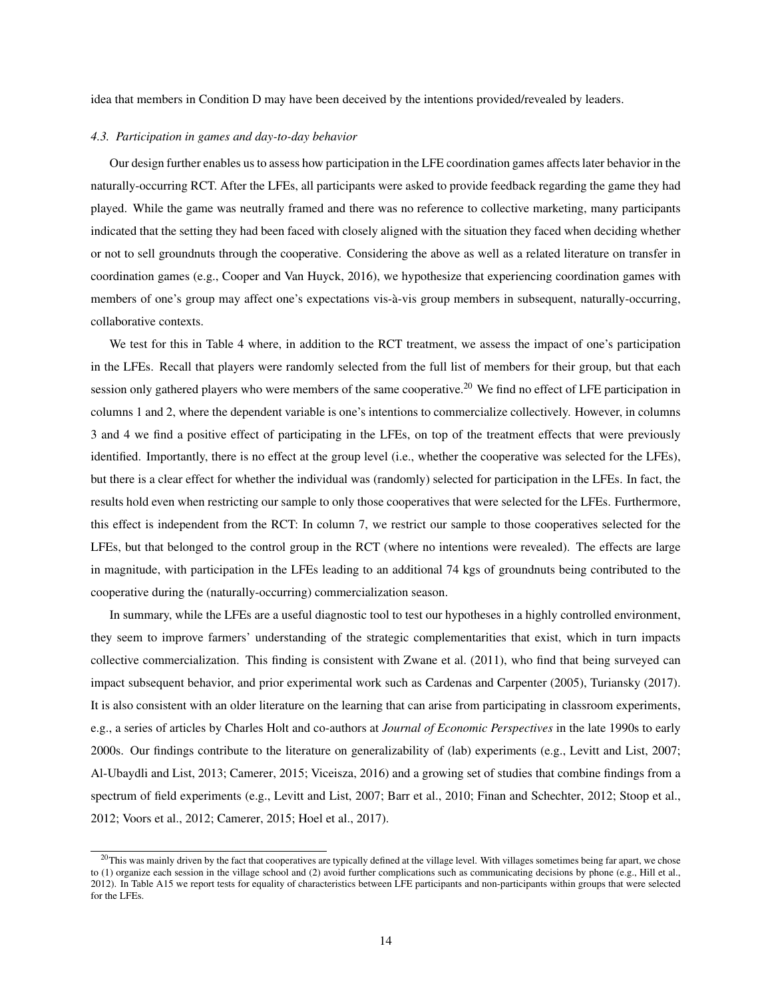idea that members in Condition D may have been deceived by the intentions provided/revealed by leaders.

## *4.3. Participation in games and day-to-day behavior*

Our design further enables us to assess how participation in the LFE coordination games affects later behavior in the naturally-occurring RCT. After the LFEs, all participants were asked to provide feedback regarding the game they had played. While the game was neutrally framed and there was no reference to collective marketing, many participants indicated that the setting they had been faced with closely aligned with the situation they faced when deciding whether or not to sell groundnuts through the cooperative. Considering the above as well as a related literature on transfer in coordination games (e.g., Cooper and Van Huyck, 2016), we hypothesize that experiencing coordination games with members of one's group may affect one's expectations vis-à-vis group members in subsequent, naturally-occurring, collaborative contexts.

We test for this in Table 4 where, in addition to the RCT treatment, we assess the impact of one's participation in the LFEs. Recall that players were randomly selected from the full list of members for their group, but that each session only gathered players who were members of the same cooperative.<sup>20</sup> We find no effect of LFE participation in columns 1 and 2, where the dependent variable is one's intentions to commercialize collectively. However, in columns 3 and 4 we find a positive effect of participating in the LFEs, on top of the treatment effects that were previously identified. Importantly, there is no effect at the group level (i.e., whether the cooperative was selected for the LFEs), but there is a clear effect for whether the individual was (randomly) selected for participation in the LFEs. In fact, the results hold even when restricting our sample to only those cooperatives that were selected for the LFEs. Furthermore, this effect is independent from the RCT: In column 7, we restrict our sample to those cooperatives selected for the LFEs, but that belonged to the control group in the RCT (where no intentions were revealed). The effects are large in magnitude, with participation in the LFEs leading to an additional 74 kgs of groundnuts being contributed to the cooperative during the (naturally-occurring) commercialization season.

In summary, while the LFEs are a useful diagnostic tool to test our hypotheses in a highly controlled environment, they seem to improve farmers' understanding of the strategic complementarities that exist, which in turn impacts collective commercialization. This finding is consistent with Zwane et al. (2011), who find that being surveyed can impact subsequent behavior, and prior experimental work such as Cardenas and Carpenter (2005), Turiansky (2017). It is also consistent with an older literature on the learning that can arise from participating in classroom experiments, e.g., a series of articles by Charles Holt and co-authors at *Journal of Economic Perspectives* in the late 1990s to early 2000s. Our findings contribute to the literature on generalizability of (lab) experiments (e.g., Levitt and List, 2007; Al-Ubaydli and List, 2013; Camerer, 2015; Viceisza, 2016) and a growing set of studies that combine findings from a spectrum of field experiments (e.g., Levitt and List, 2007; Barr et al., 2010; Finan and Schechter, 2012; Stoop et al., 2012; Voors et al., 2012; Camerer, 2015; Hoel et al., 2017).

 $^{20}$ This was mainly driven by the fact that cooperatives are typically defined at the village level. With villages sometimes being far apart, we chose to (1) organize each session in the village school and (2) avoid further complications such as communicating decisions by phone (e.g., Hill et al., 2012). In Table A15 we report tests for equality of characteristics between LFE participants and non-participants within groups that were selected for the LFEs.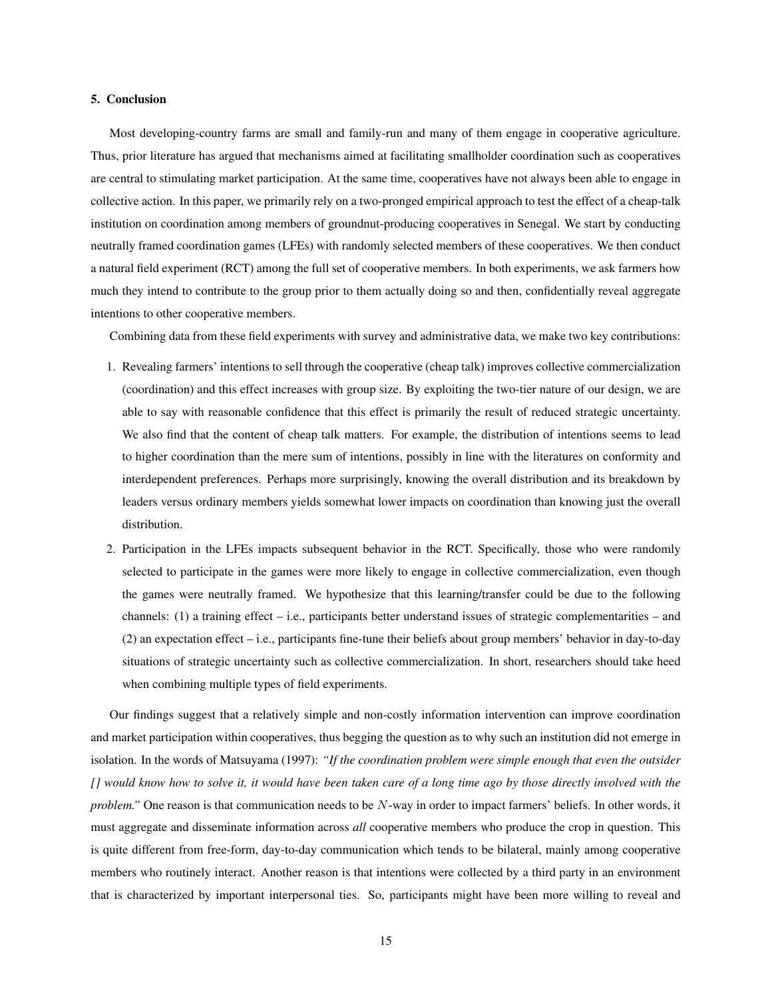#### 5. Conclusion

Most developing-country farms are small and family-run and many of them engage in cooperative agriculture. Thus, prior literature has argued that mechanisms aimed at facilitating smallholder coordination such as cooperatives are central to stimulating market participation. At the same time, cooperatives have not always been able to engage in collective action. In this paper, we primarily rely on a two-pronged empirical approach to test the effect of a cheap-talk institution on coordination among members of groundnut-producing cooperatives in Senegal. We start by conducting neutrally framed coordination games (LFEs) with randomly selected members of these cooperatives. We then conduct a natural field experiment (RCT) among the full set of cooperative members. In both experiments, we ask farmers how much they intend to contribute to the group prior to them actually doing so and then, confidentially reveal aggregate intentions to other cooperative members.

Combining data from these field experiments with survey and administrative data, we make two key contributions:

- 1. Revealing farmers' intentions to sell through the cooperative (cheap talk) improves collective commercialization (coordination) and this effect increases with group size. By exploiting the two-tier nature of our design, we are able to say with reasonable confidence that this effect is primarily the result of reduced strategic uncertainty. We also find that the content of cheap talk matters. For example, the distribution of intentions seems to lead to higher coordination than the mere sum of intentions, possibly in line with the literatures on conformity and interdependent preferences. Perhaps more surprisingly, knowing the overall distribution and its breakdown by leaders versus ordinary members yields somewhat lower impacts on coordination than knowing just the overall distribution.
- 2. Participation in the LFEs impacts subsequent behavior in the RCT. Specifically, those who were randomly selected to participate in the games were more likely to engage in collective commercialization, even though the games were neutrally framed. We hypothesize that this learning/transfer could be due to the following channels: (1) a training effect – i.e., participants better understand issues of strategic complementarities – and (2) an expectation effect – i.e., participants fine-tune their beliefs about group members' behavior in day-to-day situations of strategic uncertainty such as collective commercialization. In short, researchers should take heed when combining multiple types of field experiments.

Our findings suggest that a relatively simple and non-costly information intervention can improve coordination and market participation within cooperatives, thus begging the question as to why such an institution did not emerge in isolation. In the words of Matsuyama (1997): *"If the coordination problem were simple enough that even the outsider [] would know how to solve it, it would have been taken care of a long time ago by those directly involved with the problem.*" One reason is that communication needs to be N-way in order to impact farmers' beliefs. In other words, it must aggregate and disseminate information across *all* cooperative members who produce the crop in question. This is quite different from free-form, day-to-day communication which tends to be bilateral, mainly among cooperative members who routinely interact. Another reason is that intentions were collected by a third party in an environment that is characterized by important interpersonal ties. So, participants might have been more willing to reveal and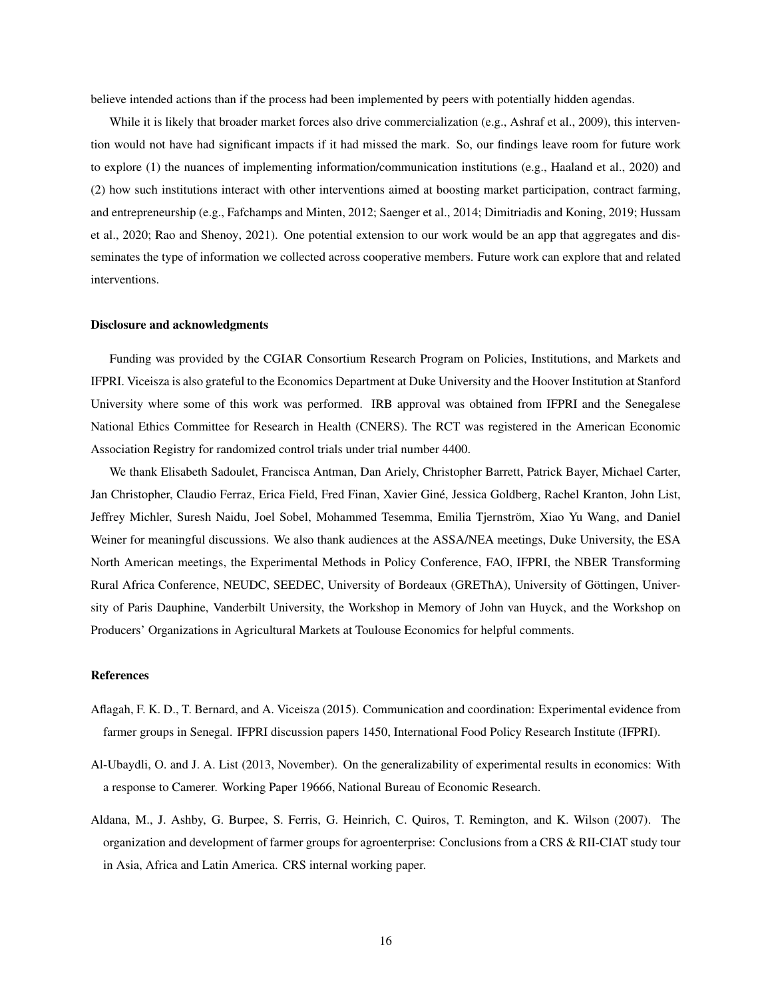believe intended actions than if the process had been implemented by peers with potentially hidden agendas.

While it is likely that broader market forces also drive commercialization (e.g., Ashraf et al., 2009), this intervention would not have had significant impacts if it had missed the mark. So, our findings leave room for future work to explore (1) the nuances of implementing information/communication institutions (e.g., Haaland et al., 2020) and (2) how such institutions interact with other interventions aimed at boosting market participation, contract farming, and entrepreneurship (e.g., Fafchamps and Minten, 2012; Saenger et al., 2014; Dimitriadis and Koning, 2019; Hussam et al., 2020; Rao and Shenoy, 2021). One potential extension to our work would be an app that aggregates and disseminates the type of information we collected across cooperative members. Future work can explore that and related interventions.

#### Disclosure and acknowledgments

Funding was provided by the CGIAR Consortium Research Program on Policies, Institutions, and Markets and IFPRI. Viceisza is also grateful to the Economics Department at Duke University and the Hoover Institution at Stanford University where some of this work was performed. IRB approval was obtained from IFPRI and the Senegalese National Ethics Committee for Research in Health (CNERS). The RCT was registered in the American Economic Association Registry for randomized control trials under trial number 4400.

We thank Elisabeth Sadoulet, Francisca Antman, Dan Ariely, Christopher Barrett, Patrick Bayer, Michael Carter, Jan Christopher, Claudio Ferraz, Erica Field, Fred Finan, Xavier Gine, Jessica Goldberg, Rachel Kranton, John List, ´ Jeffrey Michler, Suresh Naidu, Joel Sobel, Mohammed Tesemma, Emilia Tjernström, Xiao Yu Wang, and Daniel Weiner for meaningful discussions. We also thank audiences at the ASSA/NEA meetings, Duke University, the ESA North American meetings, the Experimental Methods in Policy Conference, FAO, IFPRI, the NBER Transforming Rural Africa Conference, NEUDC, SEEDEC, University of Bordeaux (GREThA), University of Gottingen, Univer- ¨ sity of Paris Dauphine, Vanderbilt University, the Workshop in Memory of John van Huyck, and the Workshop on Producers' Organizations in Agricultural Markets at Toulouse Economics for helpful comments.

# References

- Aflagah, F. K. D., T. Bernard, and A. Viceisza (2015). Communication and coordination: Experimental evidence from farmer groups in Senegal. IFPRI discussion papers 1450, International Food Policy Research Institute (IFPRI).
- Al-Ubaydli, O. and J. A. List (2013, November). On the generalizability of experimental results in economics: With a response to Camerer. Working Paper 19666, National Bureau of Economic Research.
- Aldana, M., J. Ashby, G. Burpee, S. Ferris, G. Heinrich, C. Quiros, T. Remington, and K. Wilson (2007). The organization and development of farmer groups for agroenterprise: Conclusions from a CRS & RII-CIAT study tour in Asia, Africa and Latin America. CRS internal working paper.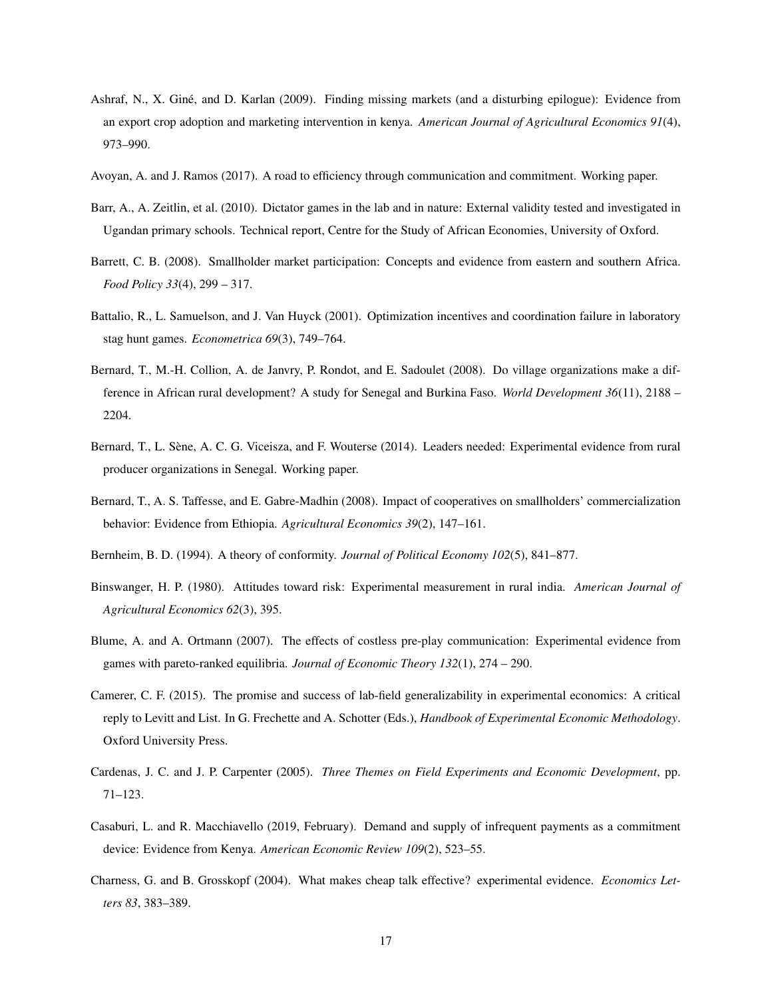- Ashraf, N., X. Giné, and D. Karlan (2009). Finding missing markets (and a disturbing epilogue): Evidence from an export crop adoption and marketing intervention in kenya. *American Journal of Agricultural Economics 91*(4), 973–990.
- Avoyan, A. and J. Ramos (2017). A road to efficiency through communication and commitment. Working paper.
- Barr, A., A. Zeitlin, et al. (2010). Dictator games in the lab and in nature: External validity tested and investigated in Ugandan primary schools. Technical report, Centre for the Study of African Economies, University of Oxford.
- Barrett, C. B. (2008). Smallholder market participation: Concepts and evidence from eastern and southern Africa. *Food Policy 33*(4), 299 – 317.
- Battalio, R., L. Samuelson, and J. Van Huyck (2001). Optimization incentives and coordination failure in laboratory stag hunt games. *Econometrica 69*(3), 749–764.
- Bernard, T., M.-H. Collion, A. de Janvry, P. Rondot, and E. Sadoulet (2008). Do village organizations make a difference in African rural development? A study for Senegal and Burkina Faso. *World Development 36*(11), 2188 – 2204.
- Bernard, T., L. Sene, A. C. G. Viceisza, and F. Wouterse (2014). Leaders needed: Experimental evidence from rural ` producer organizations in Senegal. Working paper.
- Bernard, T., A. S. Taffesse, and E. Gabre-Madhin (2008). Impact of cooperatives on smallholders' commercialization behavior: Evidence from Ethiopia. *Agricultural Economics 39*(2), 147–161.
- Bernheim, B. D. (1994). A theory of conformity. *Journal of Political Economy 102*(5), 841–877.
- Binswanger, H. P. (1980). Attitudes toward risk: Experimental measurement in rural india. *American Journal of Agricultural Economics 62*(3), 395.
- Blume, A. and A. Ortmann (2007). The effects of costless pre-play communication: Experimental evidence from games with pareto-ranked equilibria. *Journal of Economic Theory 132*(1), 274 – 290.
- Camerer, C. F. (2015). The promise and success of lab-field generalizability in experimental economics: A critical reply to Levitt and List. In G. Frechette and A. Schotter (Eds.), *Handbook of Experimental Economic Methodology*. Oxford University Press.
- Cardenas, J. C. and J. P. Carpenter (2005). *Three Themes on Field Experiments and Economic Development*, pp. 71–123.
- Casaburi, L. and R. Macchiavello (2019, February). Demand and supply of infrequent payments as a commitment device: Evidence from Kenya. *American Economic Review 109*(2), 523–55.
- Charness, G. and B. Grosskopf (2004). What makes cheap talk effective? experimental evidence. *Economics Letters 83*, 383–389.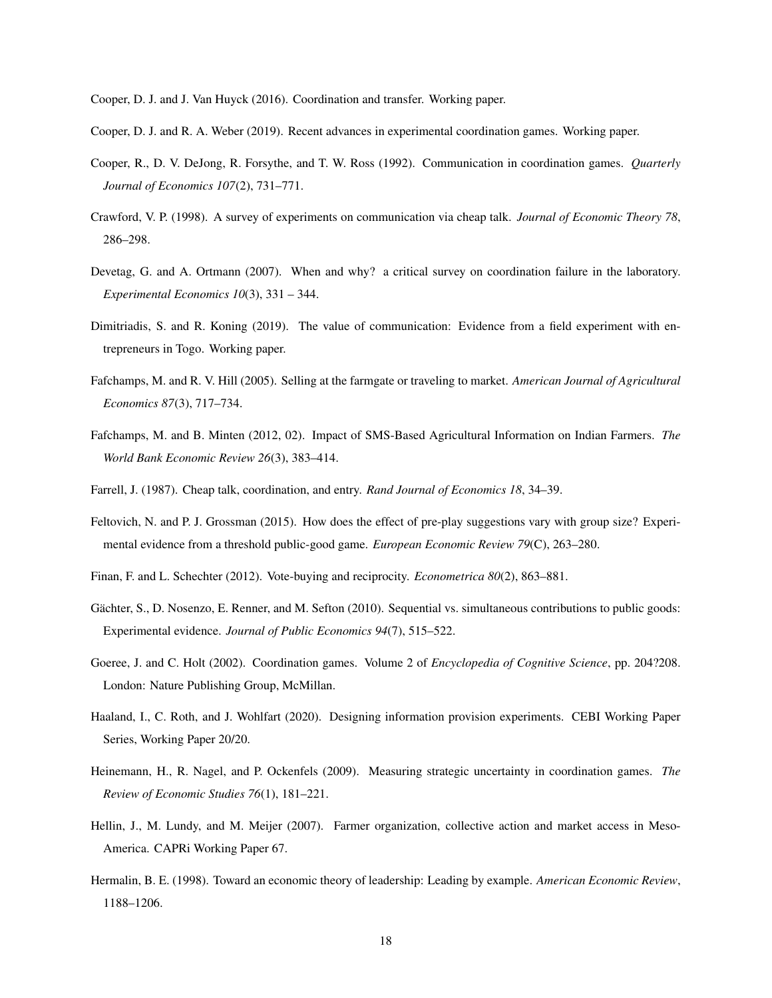Cooper, D. J. and J. Van Huyck (2016). Coordination and transfer. Working paper.

- Cooper, D. J. and R. A. Weber (2019). Recent advances in experimental coordination games. Working paper.
- Cooper, R., D. V. DeJong, R. Forsythe, and T. W. Ross (1992). Communication in coordination games. *Quarterly Journal of Economics 107*(2), 731–771.
- Crawford, V. P. (1998). A survey of experiments on communication via cheap talk. *Journal of Economic Theory 78*, 286–298.
- Devetag, G. and A. Ortmann (2007). When and why? a critical survey on coordination failure in the laboratory. *Experimental Economics 10*(3), 331 – 344.
- Dimitriadis, S. and R. Koning (2019). The value of communication: Evidence from a field experiment with entrepreneurs in Togo. Working paper.
- Fafchamps, M. and R. V. Hill (2005). Selling at the farmgate or traveling to market. *American Journal of Agricultural Economics 87*(3), 717–734.
- Fafchamps, M. and B. Minten (2012, 02). Impact of SMS-Based Agricultural Information on Indian Farmers. *The World Bank Economic Review 26*(3), 383–414.
- Farrell, J. (1987). Cheap talk, coordination, and entry. *Rand Journal of Economics 18*, 34–39.
- Feltovich, N. and P. J. Grossman (2015). How does the effect of pre-play suggestions vary with group size? Experimental evidence from a threshold public-good game. *European Economic Review 79*(C), 263–280.
- Finan, F. and L. Schechter (2012). Vote-buying and reciprocity. *Econometrica 80*(2), 863–881.
- Gächter, S., D. Nosenzo, E. Renner, and M. Sefton (2010). Sequential vs. simultaneous contributions to public goods: Experimental evidence. *Journal of Public Economics 94*(7), 515–522.
- Goeree, J. and C. Holt (2002). Coordination games. Volume 2 of *Encyclopedia of Cognitive Science*, pp. 204?208. London: Nature Publishing Group, McMillan.
- Haaland, I., C. Roth, and J. Wohlfart (2020). Designing information provision experiments. CEBI Working Paper Series, Working Paper 20/20.
- Heinemann, H., R. Nagel, and P. Ockenfels (2009). Measuring strategic uncertainty in coordination games. *The Review of Economic Studies 76*(1), 181–221.
- Hellin, J., M. Lundy, and M. Meijer (2007). Farmer organization, collective action and market access in Meso-America. CAPRi Working Paper 67.
- Hermalin, B. E. (1998). Toward an economic theory of leadership: Leading by example. *American Economic Review*, 1188–1206.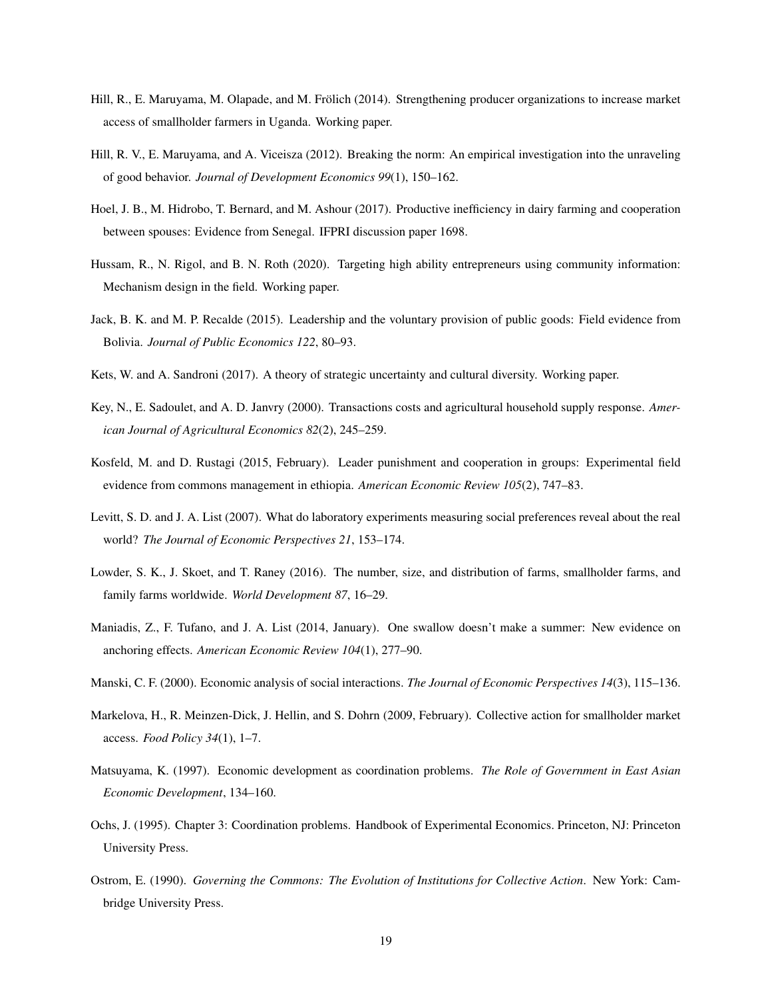- Hill, R., E. Maruyama, M. Olapade, and M. Frölich (2014). Strengthening producer organizations to increase market access of smallholder farmers in Uganda. Working paper.
- Hill, R. V., E. Maruyama, and A. Viceisza (2012). Breaking the norm: An empirical investigation into the unraveling of good behavior. *Journal of Development Economics 99*(1), 150–162.
- Hoel, J. B., M. Hidrobo, T. Bernard, and M. Ashour (2017). Productive inefficiency in dairy farming and cooperation between spouses: Evidence from Senegal. IFPRI discussion paper 1698.
- Hussam, R., N. Rigol, and B. N. Roth (2020). Targeting high ability entrepreneurs using community information: Mechanism design in the field. Working paper.
- Jack, B. K. and M. P. Recalde (2015). Leadership and the voluntary provision of public goods: Field evidence from Bolivia. *Journal of Public Economics 122*, 80–93.
- Kets, W. and A. Sandroni (2017). A theory of strategic uncertainty and cultural diversity. Working paper.
- Key, N., E. Sadoulet, and A. D. Janvry (2000). Transactions costs and agricultural household supply response. *American Journal of Agricultural Economics 82*(2), 245–259.
- Kosfeld, M. and D. Rustagi (2015, February). Leader punishment and cooperation in groups: Experimental field evidence from commons management in ethiopia. *American Economic Review 105*(2), 747–83.
- Levitt, S. D. and J. A. List (2007). What do laboratory experiments measuring social preferences reveal about the real world? *The Journal of Economic Perspectives 21*, 153–174.
- Lowder, S. K., J. Skoet, and T. Raney (2016). The number, size, and distribution of farms, smallholder farms, and family farms worldwide. *World Development 87*, 16–29.
- Maniadis, Z., F. Tufano, and J. A. List (2014, January). One swallow doesn't make a summer: New evidence on anchoring effects. *American Economic Review 104*(1), 277–90.
- Manski, C. F. (2000). Economic analysis of social interactions. *The Journal of Economic Perspectives 14*(3), 115–136.
- Markelova, H., R. Meinzen-Dick, J. Hellin, and S. Dohrn (2009, February). Collective action for smallholder market access. *Food Policy 34*(1), 1–7.
- Matsuyama, K. (1997). Economic development as coordination problems. *The Role of Government in East Asian Economic Development*, 134–160.
- Ochs, J. (1995). Chapter 3: Coordination problems. Handbook of Experimental Economics. Princeton, NJ: Princeton University Press.
- Ostrom, E. (1990). *Governing the Commons: The Evolution of Institutions for Collective Action*. New York: Cambridge University Press.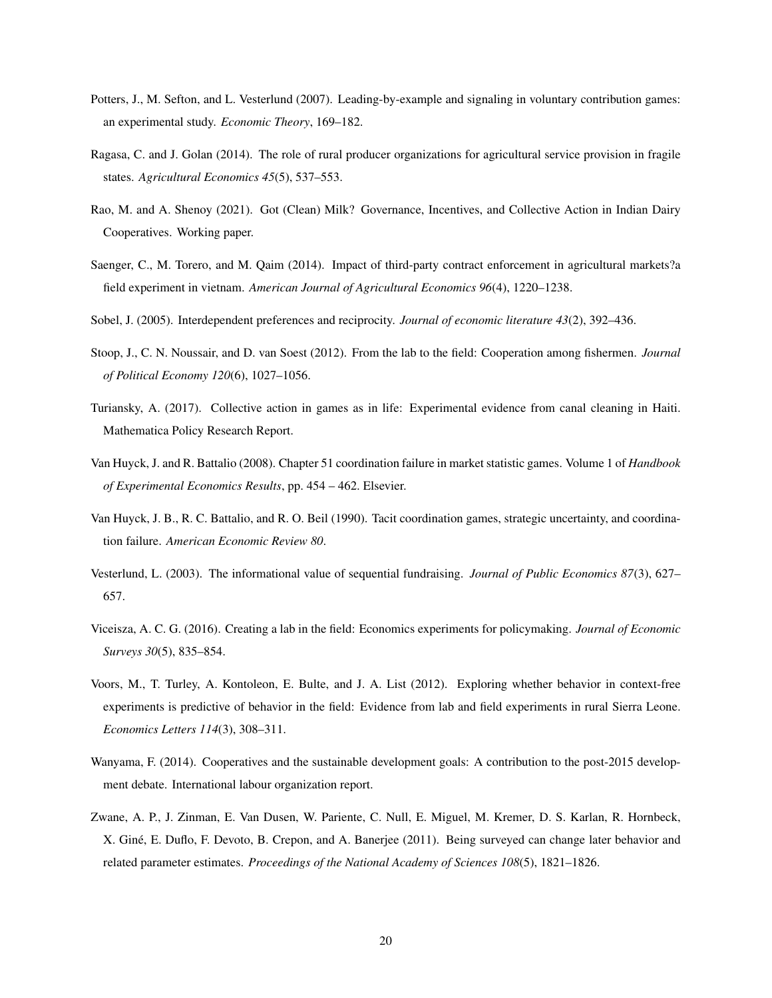- Potters, J., M. Sefton, and L. Vesterlund (2007). Leading-by-example and signaling in voluntary contribution games: an experimental study. *Economic Theory*, 169–182.
- Ragasa, C. and J. Golan (2014). The role of rural producer organizations for agricultural service provision in fragile states. *Agricultural Economics 45*(5), 537–553.
- Rao, M. and A. Shenoy (2021). Got (Clean) Milk? Governance, Incentives, and Collective Action in Indian Dairy Cooperatives. Working paper.
- Saenger, C., M. Torero, and M. Qaim (2014). Impact of third-party contract enforcement in agricultural markets?a field experiment in vietnam. *American Journal of Agricultural Economics 96*(4), 1220–1238.
- Sobel, J. (2005). Interdependent preferences and reciprocity. *Journal of economic literature 43*(2), 392–436.
- Stoop, J., C. N. Noussair, and D. van Soest (2012). From the lab to the field: Cooperation among fishermen. *Journal of Political Economy 120*(6), 1027–1056.
- Turiansky, A. (2017). Collective action in games as in life: Experimental evidence from canal cleaning in Haiti. Mathematica Policy Research Report.
- Van Huyck, J. and R. Battalio (2008). Chapter 51 coordination failure in market statistic games. Volume 1 of *Handbook of Experimental Economics Results*, pp. 454 – 462. Elsevier.
- Van Huyck, J. B., R. C. Battalio, and R. O. Beil (1990). Tacit coordination games, strategic uncertainty, and coordination failure. *American Economic Review 80*.
- Vesterlund, L. (2003). The informational value of sequential fundraising. *Journal of Public Economics 87*(3), 627– 657.
- Viceisza, A. C. G. (2016). Creating a lab in the field: Economics experiments for policymaking. *Journal of Economic Surveys 30*(5), 835–854.
- Voors, M., T. Turley, A. Kontoleon, E. Bulte, and J. A. List (2012). Exploring whether behavior in context-free experiments is predictive of behavior in the field: Evidence from lab and field experiments in rural Sierra Leone. *Economics Letters 114*(3), 308–311.
- Wanyama, F. (2014). Cooperatives and the sustainable development goals: A contribution to the post-2015 development debate. International labour organization report.
- Zwane, A. P., J. Zinman, E. Van Dusen, W. Pariente, C. Null, E. Miguel, M. Kremer, D. S. Karlan, R. Hornbeck, X. Gine, E. Duflo, F. Devoto, B. Crepon, and A. Banerjee (2011). Being surveyed can change later behavior and ´ related parameter estimates. *Proceedings of the National Academy of Sciences 108*(5), 1821–1826.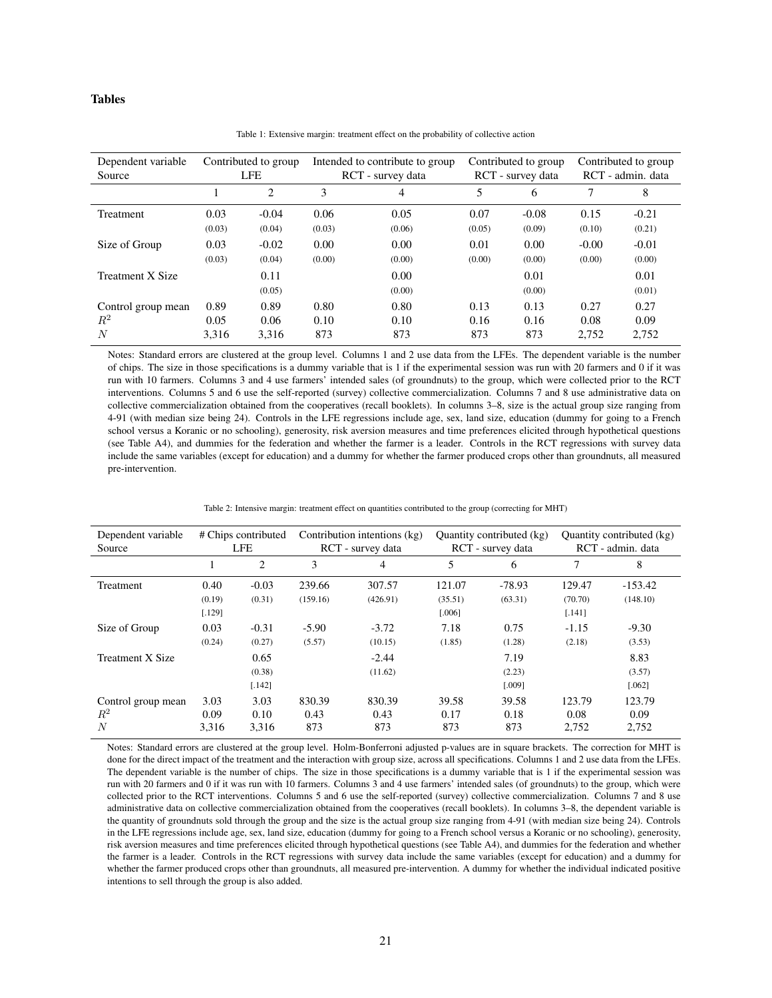# Tables

| Dependent variable |        | Contributed to group | Intended to contribute to group |                | Contributed to group |                | Contributed to group |                |
|--------------------|--------|----------------------|---------------------------------|----------------|----------------------|----------------|----------------------|----------------|
| Source             |        | LFE                  | RCT - survey data               |                | RCT - survey data    |                | RCT - admin. data    |                |
|                    |        | $\overline{c}$       | 3                               | 4              | 5                    | 6              | 7                    | 8              |
| Treatment          | 0.03   | $-0.04$              | 0.06                            | 0.05           | 0.07                 | $-0.08$        | 0.15                 | $-0.21$        |
|                    | (0.03) | (0.04)               | (0.03)                          | (0.06)         | (0.05)               | (0.09)         | (0.10)               | (0.21)         |
| Size of Group      | 0.03   | $-0.02$              | 0.00                            | 0.00           | 0.01                 | 0.00           | $-0.00$              | $-0.01$        |
|                    | (0.03) | (0.04)               | (0.00)                          | (0.00)         | (0.00)               | (0.00)         | (0.00)               | (0.00)         |
| Treatment X Size   |        | 0.11<br>(0.05)       |                                 | 0.00<br>(0.00) |                      | 0.01<br>(0.00) |                      | 0.01<br>(0.01) |
| Control group mean | 0.89   | 0.89                 | 0.80                            | 0.80           | 0.13                 | 0.13           | 0.27                 | 0.27           |
| $\,R^2$            | 0.05   | 0.06                 | 0.10                            | 0.10           | 0.16                 | 0.16           | 0.08                 | 0.09           |
| N                  | 3.316  | 3,316                | 873                             | 873            | 873                  | 873            | 2.752                | 2,752          |

Table 1: Extensive margin: treatment effect on the probability of collective action

Notes: Standard errors are clustered at the group level. Columns 1 and 2 use data from the LFEs. The dependent variable is the number of chips. The size in those specifications is a dummy variable that is 1 if the experimental session was run with 20 farmers and 0 if it was run with 10 farmers. Columns 3 and 4 use farmers' intended sales (of groundnuts) to the group, which were collected prior to the RCT interventions. Columns 5 and 6 use the self-reported (survey) collective commercialization. Columns 7 and 8 use administrative data on collective commercialization obtained from the cooperatives (recall booklets). In columns 3–8, size is the actual group size ranging from 4-91 (with median size being 24). Controls in the LFE regressions include age, sex, land size, education (dummy for going to a French school versus a Koranic or no schooling), generosity, risk aversion measures and time preferences elicited through hypothetical questions (see Table A4), and dummies for the federation and whether the farmer is a leader. Controls in the RCT regressions with survey data include the same variables (except for education) and a dummy for whether the farmer produced crops other than groundnuts, all measured pre-intervention.

| Table 2: Intensive margin: treatment effect on quantities contributed to the group (correcting for MHT) |  |  |
|---------------------------------------------------------------------------------------------------------|--|--|
|                                                                                                         |  |  |

| Dependent variable<br>Source     |                          | # Chips contributed<br><b>LFE</b> |                       | Contribution intentions (kg)<br>RCT - survey data |                             | Quantity contributed (kg)<br>RCT - survey data |                             | Quantity contributed (kg)<br>RCT - admin. data |
|----------------------------------|--------------------------|-----------------------------------|-----------------------|---------------------------------------------------|-----------------------------|------------------------------------------------|-----------------------------|------------------------------------------------|
|                                  |                          | 2                                 | 3                     | 4                                                 | 5                           | 6                                              | 7                           | 8                                              |
| <b>Treatment</b>                 | 0.40<br>(0.19)<br>[.129] | $-0.03$<br>(0.31)                 | 239.66<br>(159.16)    | 307.57<br>(426.91)                                | 121.07<br>(35.51)<br>[.006] | $-78.93$<br>(63.31)                            | 129.47<br>(70.70)<br>[.141] | $-153.42$<br>(148.10)                          |
| Size of Group                    | 0.03<br>(0.24)           | $-0.31$<br>(0.27)                 | $-5.90$<br>(5.57)     | $-3.72$<br>(10.15)                                | 7.18<br>(1.85)              | 0.75<br>(1.28)                                 | $-1.15$<br>(2.18)           | $-9.30$<br>(3.53)                              |
| <b>Treatment X Size</b>          |                          | 0.65<br>(0.38)<br>[.142]          |                       | $-2.44$<br>(11.62)                                |                             | 7.19<br>(2.23)<br>[.009]                       |                             | 8.83<br>(3.57)<br>[.062]                       |
| Control group mean<br>$R^2$<br>N | 3.03<br>0.09<br>3,316    | 3.03<br>0.10<br>3,316             | 830.39<br>0.43<br>873 | 830.39<br>0.43<br>873                             | 39.58<br>0.17<br>873        | 39.58<br>0.18<br>873                           | 123.79<br>0.08<br>2.752     | 123.79<br>0.09<br>2,752                        |

Notes: Standard errors are clustered at the group level. Holm-Bonferroni adjusted p-values are in square brackets. The correction for MHT is done for the direct impact of the treatment and the interaction with group size, across all specifications. Columns 1 and 2 use data from the LFEs. The dependent variable is the number of chips. The size in those specifications is a dummy variable that is 1 if the experimental session was run with 20 farmers and 0 if it was run with 10 farmers. Columns 3 and 4 use farmers' intended sales (of groundnuts) to the group, which were collected prior to the RCT interventions. Columns 5 and 6 use the self-reported (survey) collective commercialization. Columns 7 and 8 use administrative data on collective commercialization obtained from the cooperatives (recall booklets). In columns 3–8, the dependent variable is the quantity of groundnuts sold through the group and the size is the actual group size ranging from 4-91 (with median size being 24). Controls in the LFE regressions include age, sex, land size, education (dummy for going to a French school versus a Koranic or no schooling), generosity, risk aversion measures and time preferences elicited through hypothetical questions (see Table A4), and dummies for the federation and whether the farmer is a leader. Controls in the RCT regressions with survey data include the same variables (except for education) and a dummy for whether the farmer produced crops other than groundnuts, all measured pre-intervention. A dummy for whether the individual indicated positive intentions to sell through the group is also added.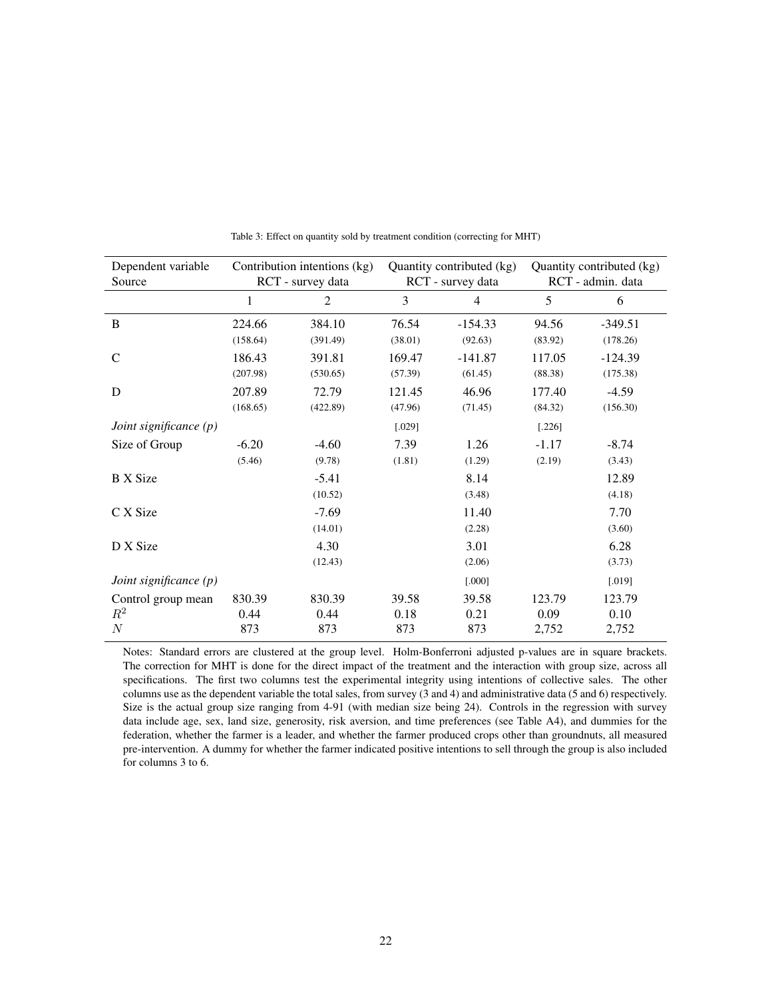| Dependent variable<br>Source |          | Contribution intentions (kg)<br>RCT - survey data |         | Quantity contributed (kg)<br>RCT - survey data |          | Quantity contributed (kg)<br>RCT - admin. data |
|------------------------------|----------|---------------------------------------------------|---------|------------------------------------------------|----------|------------------------------------------------|
|                              | 1        | 2                                                 | 3       | $\overline{4}$                                 | 5        | 6                                              |
| B                            | 224.66   | 384.10                                            | 76.54   | $-154.33$                                      | 94.56    | $-349.51$                                      |
|                              | (158.64) | (391.49)                                          | (38.01) | (92.63)                                        | (83.92)  | (178.26)                                       |
| $\mathcal{C}$                | 186.43   | 391.81                                            | 169.47  | -141.87                                        | 117.05   | $-124.39$                                      |
|                              | (207.98) | (530.65)                                          | (57.39) | (61.45)                                        | (88.38)  | (175.38)                                       |
| D                            | 207.89   | 72.79                                             | 121.45  | 46.96                                          | 177.40   | $-4.59$                                        |
|                              | (168.65) | (422.89)                                          | (47.96) | (71.45)                                        | (84.32)  | (156.30)                                       |
| Joint significance $(p)$     |          |                                                   | [.029]  |                                                | $[.226]$ |                                                |
| Size of Group                | $-6.20$  | $-4.60$                                           | 7.39    | 1.26                                           | $-1.17$  | $-8.74$                                        |
|                              | (5.46)   | (9.78)                                            | (1.81)  | (1.29)                                         | (2.19)   | (3.43)                                         |
| <b>B</b> X Size              |          | $-5.41$                                           |         | 8.14                                           |          | 12.89                                          |
|                              |          | (10.52)                                           |         | (3.48)                                         |          | (4.18)                                         |
| C X Size                     |          | $-7.69$                                           |         | 11.40                                          |          | 7.70                                           |
|                              |          | (14.01)                                           |         | (2.28)                                         |          | (3.60)                                         |
| D X Size                     |          | 4.30                                              |         | 3.01                                           |          | 6.28                                           |
|                              |          | (12.43)                                           |         | (2.06)                                         |          | (3.73)                                         |
| Joint significance $(p)$     |          |                                                   |         | [.000]                                         |          | [.019]                                         |
| Control group mean           | 830.39   | 830.39                                            | 39.58   | 39.58                                          | 123.79   | 123.79                                         |
| $R^2$                        | 0.44     | 0.44                                              | 0.18    | 0.21                                           | 0.09     | 0.10                                           |
| $\cal N$                     | 873      | 873                                               | 873     | 873                                            | 2,752    | 2,752                                          |

Table 3: Effect on quantity sold by treatment condition (correcting for MHT)

Notes: Standard errors are clustered at the group level. Holm-Bonferroni adjusted p-values are in square brackets. The correction for MHT is done for the direct impact of the treatment and the interaction with group size, across all specifications. The first two columns test the experimental integrity using intentions of collective sales. The other columns use as the dependent variable the total sales, from survey (3 and 4) and administrative data (5 and 6) respectively. Size is the actual group size ranging from 4-91 (with median size being 24). Controls in the regression with survey data include age, sex, land size, generosity, risk aversion, and time preferences (see Table A4), and dummies for the federation, whether the farmer is a leader, and whether the farmer produced crops other than groundnuts, all measured pre-intervention. A dummy for whether the farmer indicated positive intentions to sell through the group is also included for columns 3 to 6.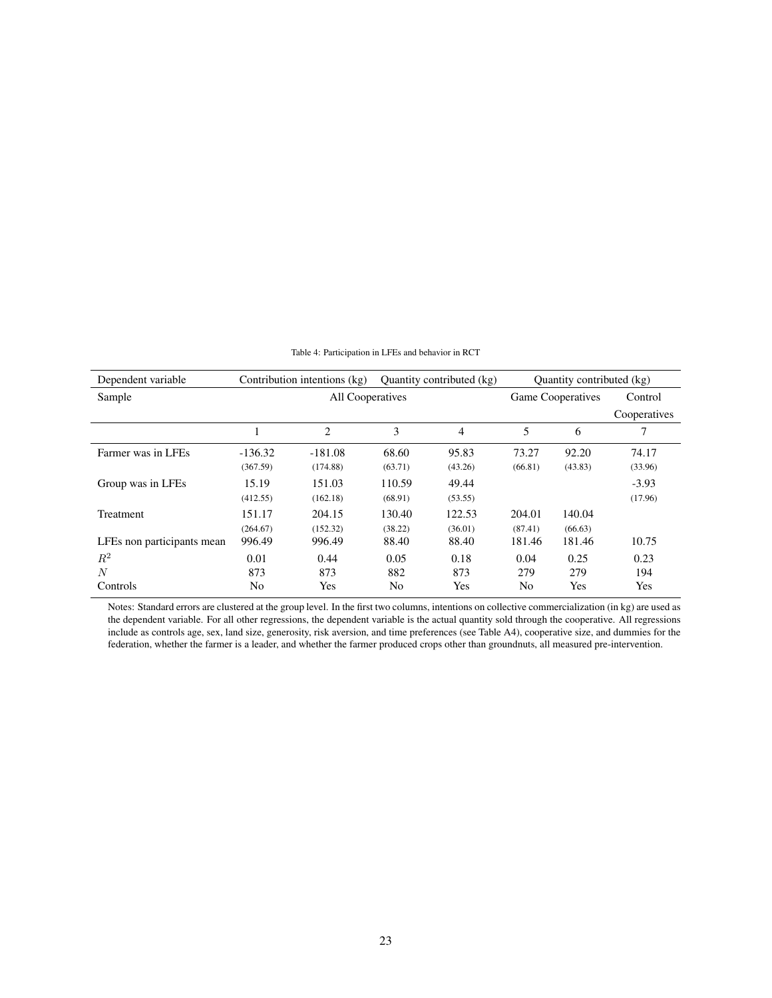| Dependent variable         |           | Contribution intentions (kg)<br>Quantity contributed (kg) |         |                          |         | Quantity contributed (kg) |              |
|----------------------------|-----------|-----------------------------------------------------------|---------|--------------------------|---------|---------------------------|--------------|
| Sample                     |           | All Cooperatives                                          |         | <b>Game Cooperatives</b> | Control |                           |              |
|                            |           |                                                           |         |                          |         |                           | Cooperatives |
|                            |           | $\overline{c}$                                            | 3       | 4                        | 5       | 6                         | 7            |
| Farmer was in LFEs         | $-136.32$ | $-181.08$                                                 | 68.60   | 95.83                    | 73.27   | 92.20                     | 74.17        |
|                            | (367.59)  | (174.88)                                                  | (63.71) | (43.26)                  | (66.81) | (43.83)                   | (33.96)      |
| Group was in LFEs          | 15.19     | 151.03                                                    | 110.59  | 49.44                    |         |                           | $-3.93$      |
|                            | (412.55)  | (162.18)                                                  | (68.91) | (53.55)                  |         |                           | (17.96)      |
| Treatment                  | 151.17    | 204.15                                                    | 130.40  | 122.53                   | 204.01  | 140.04                    |              |
|                            | (264.67)  | (152.32)                                                  | (38.22) | (36.01)                  | (87.41) | (66.63)                   |              |
| LFEs non participants mean | 996.49    | 996.49                                                    | 88.40   | 88.40                    | 181.46  | 181.46                    | 10.75        |
| $R^2$                      | 0.01      | 0.44                                                      | 0.05    | 0.18                     | 0.04    | 0.25                      | 0.23         |
| N                          | 873       | 873                                                       | 882     | 873                      | 279     | 279                       | 194          |
| Controls                   | No        | Yes                                                       | No      | Yes                      | No      | Yes                       | Yes          |

Table 4: Participation in LFEs and behavior in RCT

Notes: Standard errors are clustered at the group level. In the first two columns, intentions on collective commercialization (in kg) are used as the dependent variable. For all other regressions, the dependent variable is the actual quantity sold through the cooperative. All regressions include as controls age, sex, land size, generosity, risk aversion, and time preferences (see Table A4), cooperative size, and dummies for the federation, whether the farmer is a leader, and whether the farmer produced crops other than groundnuts, all measured pre-intervention.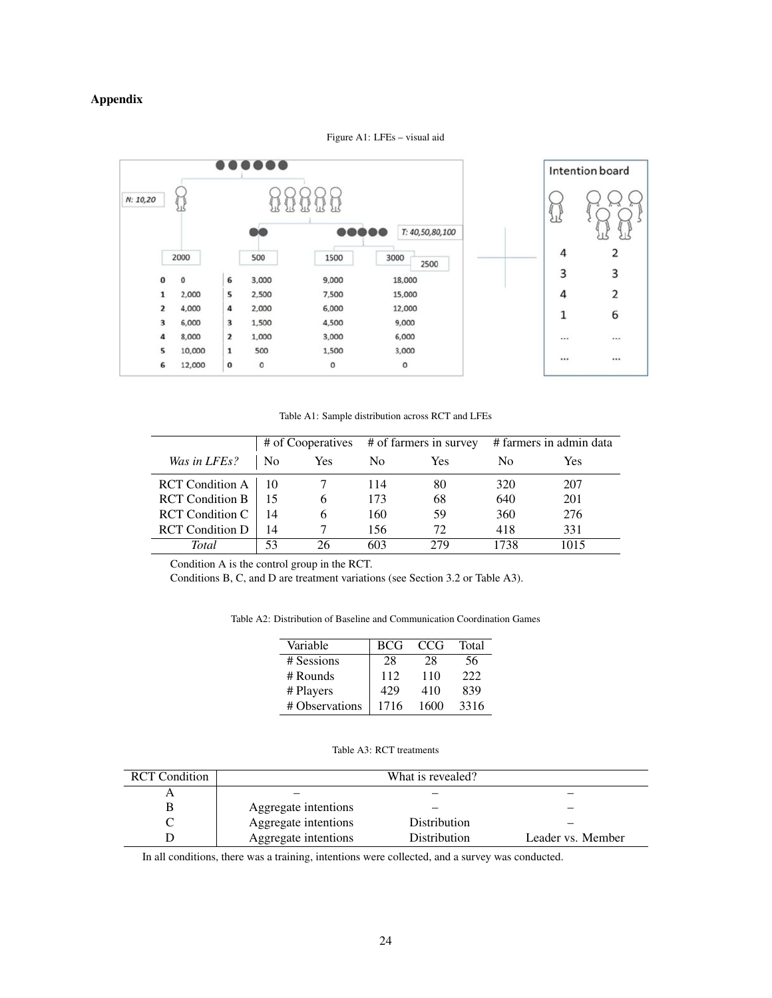# Appendix



Figure A1: LFEs – visual aid

Table A1: Sample distribution across RCT and LFEs

|                        | # of Cooperatives # of farmers in survey |     |     |     | # farmers in admin data |            |
|------------------------|------------------------------------------|-----|-----|-----|-------------------------|------------|
| Was in LFEs?           | N <sub>0</sub>                           | Yes | No. | Yes | No                      | <b>Yes</b> |
| <b>RCT</b> Condition A |                                          |     | 114 | 80  | 320                     | 207        |
| <b>RCT</b> Condition B |                                          |     | 173 | 68  | 640                     | 201        |
| <b>RCT</b> Condition C | 14                                       | h   | 160 | 59  | 360                     | 276        |
| <b>RCT</b> Condition D | 14                                       |     | 156 | 72  | 418                     | 331        |
| Total                  | 53                                       | 26. | 603 | 279 | 1738                    | 1015       |

Condition A is the control group in the RCT.

Conditions B, C, and D are treatment variations (see Section 3.2 or Table A3).

Table A2: Distribution of Baseline and Communication Coordination Games

| Variable       | <b>BCG</b> | CCG  | Total |
|----------------|------------|------|-------|
| # Sessions     | 28         | 28   | 56    |
| $#$ Rounds     | 112        | 110  | 222   |
| # Players      | 429        | 410  | 839   |
| # Observations | 1716       | 1600 | 3316  |

Table A3: RCT treatments

| <b>RCT</b> Condition | What is revealed?    |                     |                   |  |  |  |  |  |  |
|----------------------|----------------------|---------------------|-------------------|--|--|--|--|--|--|
|                      |                      |                     |                   |  |  |  |  |  |  |
| В                    | Aggregate intentions |                     |                   |  |  |  |  |  |  |
|                      | Aggregate intentions | <b>Distribution</b> |                   |  |  |  |  |  |  |
|                      | Aggregate intentions | <b>Distribution</b> | Leader vs. Member |  |  |  |  |  |  |

In all conditions, there was a training, intentions were collected, and a survey was conducted.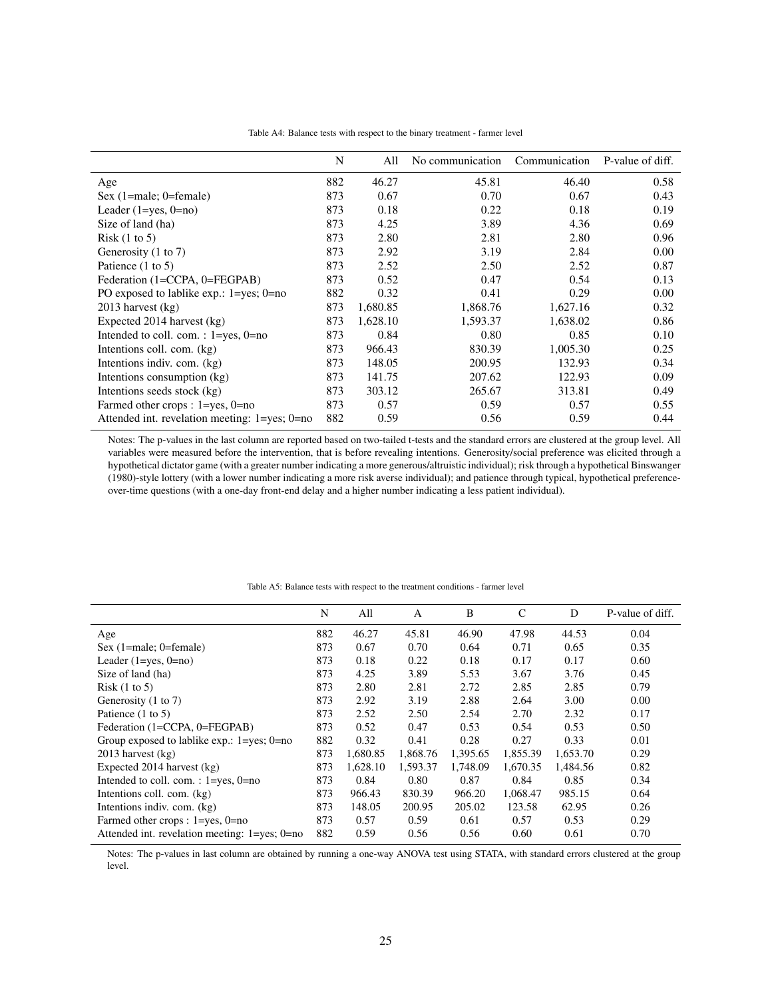|                                                        | N   | All      | No communication | Communication | P-value of diff. |
|--------------------------------------------------------|-----|----------|------------------|---------------|------------------|
| Age                                                    | 882 | 46.27    | 45.81            | 46.40         | 0.58             |
| $Sex (1 = male; 0 = female)$                           | 873 | 0.67     | 0.70             | 0.67          | 0.43             |
| Leader $(1 = yes, 0 = no)$                             | 873 | 0.18     | 0.22             | 0.18          | 0.19             |
| Size of land (ha)                                      | 873 | 4.25     | 3.89             | 4.36          | 0.69             |
| Risk $(1 \text{ to } 5)$                               | 873 | 2.80     | 2.81             | 2.80          | 0.96             |
| Generosity (1 to 7)                                    | 873 | 2.92     | 3.19             | 2.84          | 0.00             |
| Patience $(1 \text{ to } 5)$                           | 873 | 2.52     | 2.50             | 2.52          | 0.87             |
| Federation (1=CCPA, 0=FEGPAB)                          | 873 | 0.52     | 0.47             | 0.54          | 0.13             |
| PO exposed to lablike exp.: $1 = yes$ ; $0 = no$       | 882 | 0.32     | 0.41             | 0.29          | 0.00             |
| $2013$ harvest $(kg)$                                  | 873 | 1,680.85 | 1,868.76         | 1,627.16      | 0.32             |
| Expected 2014 harvest (kg)                             | 873 | 1,628.10 | 1,593.37         | 1,638.02      | 0.86             |
| Intended to coll. com. : $1 = yes$ , $0 = no$          | 873 | 0.84     | 0.80             | 0.85          | 0.10             |
| Intentions coll. com. (kg)                             | 873 | 966.43   | 830.39           | 1,005.30      | 0.25             |
| Intentions indiv. com. (kg)                            | 873 | 148.05   | 200.95           | 132.93        | 0.34             |
| Intentions consumption (kg)                            | 873 | 141.75   | 207.62           | 122.93        | 0.09             |
| Intentions seeds stock (kg)                            | 873 | 303.12   | 265.67           | 313.81        | 0.49             |
| Farmed other crops : $1 = yes$ , $0 = no$              | 873 | 0.57     | 0.59             | 0.57          | 0.55             |
| Attended int. revelation meeting: $1 = yes$ ; $0 = no$ | 882 | 0.59     | 0.56             | 0.59          | 0.44             |

Notes: The p-values in the last column are reported based on two-tailed t-tests and the standard errors are clustered at the group level. All variables were measured before the intervention, that is before revealing intentions. Generosity/social preference was elicited through a hypothetical dictator game (with a greater number indicating a more generous/altruistic individual); risk through a hypothetical Binswanger (1980)-style lottery (with a lower number indicating a more risk averse individual); and patience through typical, hypothetical preferenceover-time questions (with a one-day front-end delay and a higher number indicating a less patient individual).

|                                                  | N   | All      | $\mathbf{A}$ | B        | C        | D        | P-value of diff. |
|--------------------------------------------------|-----|----------|--------------|----------|----------|----------|------------------|
| Age                                              | 882 | 46.27    | 45.81        | 46.90    | 47.98    | 44.53    | 0.04             |
| Sex $(1)$ =male; 0=female)                       | 873 | 0.67     | 0.70         | 0.64     | 0.71     | 0.65     | 0.35             |
| Leader $(1 = yes, 0 = no)$                       | 873 | 0.18     | 0.22         | 0.18     | 0.17     | 0.17     | 0.60             |
| Size of land (ha)                                | 873 | 4.25     | 3.89         | 5.53     | 3.67     | 3.76     | 0.45             |
| Risk(1 to 5)                                     | 873 | 2.80     | 2.81         | 2.72     | 2.85     | 2.85     | 0.79             |
| Generosity (1 to 7)                              | 873 | 2.92     | 3.19         | 2.88     | 2.64     | 3.00     | 0.00             |
| Patience (1 to 5)                                | 873 | 2.52     | 2.50         | 2.54     | 2.70     | 2.32     | 0.17             |
| Federation (1=CCPA, 0=FEGPAB)                    | 873 | 0.52     | 0.47         | 0.53     | 0.54     | 0.53     | 0.50             |
| Group exposed to lablike $exp.: 1 = yes: 0 = no$ | 882 | 0.32     | 0.41         | 0.28     | 0.27     | 0.33     | 0.01             |
| $2013$ harvest $(kg)$                            | 873 | 1,680.85 | 1,868.76     | 1,395.65 | 1,855.39 | 1,653.70 | 0.29             |
| Expected 2014 harvest (kg)                       | 873 | 1,628.10 | 1,593.37     | 1,748.09 | 1,670.35 | 1,484.56 | 0.82             |
| Intended to coll. com. : 1=yes, 0=no             | 873 | 0.84     | 0.80         | 0.87     | 0.84     | 0.85     | 0.34             |
| Intentions coll. com. (kg)                       | 873 | 966.43   | 830.39       | 966.20   | 1,068.47 | 985.15   | 0.64             |
| Intentions indiv. com. (kg)                      | 873 | 148.05   | 200.95       | 205.02   | 123.58   | 62.95    | 0.26             |
| Farmed other crops : $1 = yes$ , $0 = no$        | 873 | 0.57     | 0.59         | 0.61     | 0.57     | 0.53     | 0.29             |
| Attended int. revelation meeting: 1=yes; 0=no    | 882 | 0.59     | 0.56         | 0.56     | 0.60     | 0.61     | 0.70             |

#### Table A5: Balance tests with respect to the treatment conditions - farmer level

Notes: The p-values in last column are obtained by running a one-way ANOVA test using STATA, with standard errors clustered at the group level.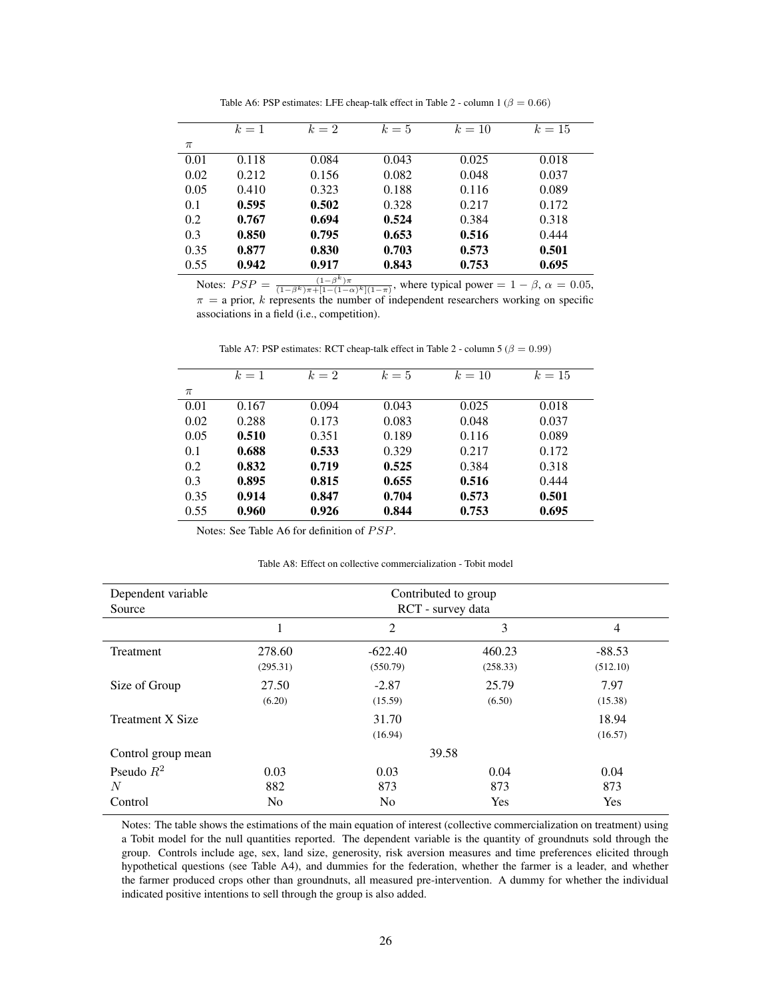|       | $k=1$ | $k=2$ | $k=5$ | $k=10$ | $k=15$ |
|-------|-------|-------|-------|--------|--------|
| $\pi$ |       |       |       |        |        |
| 0.01  | 0.118 | 0.084 | 0.043 | 0.025  | 0.018  |
| 0.02  | 0.212 | 0.156 | 0.082 | 0.048  | 0.037  |
| 0.05  | 0.410 | 0.323 | 0.188 | 0.116  | 0.089  |
| 0.1   | 0.595 | 0.502 | 0.328 | 0.217  | 0.172  |
| 0.2   | 0.767 | 0.694 | 0.524 | 0.384  | 0.318  |
| 0.3   | 0.850 | 0.795 | 0.653 | 0.516  | 0.444  |
| 0.35  | 0.877 | 0.830 | 0.703 | 0.573  | 0.501  |
| 0.55  | 0.942 | 0.917 | 0.843 | 0.753  | 0.695  |

Table A6: PSP estimates: LFE cheap-talk effect in Table 2 - column 1 ( $\beta = 0.66$ )

Notes:  $PSP = \frac{(1-\beta^k)\pi}{(1-\beta^k)\pi + [1-(1-\alpha)^k](1-\pi)}$ , where typical power = 1 –  $\beta$ ,  $\alpha = 0.05$ ,  $\pi$  = a prior, k represents the number of independent researchers working on specific associations in a field (i.e., competition).

|       | $k=1$ | $k=2$ | $k=5$ | $k=10$ | $k=15$ |
|-------|-------|-------|-------|--------|--------|
| $\pi$ |       |       |       |        |        |
| 0.01  | 0.167 | 0.094 | 0.043 | 0.025  | 0.018  |
| 0.02  | 0.288 | 0.173 | 0.083 | 0.048  | 0.037  |
| 0.05  | 0.510 | 0.351 | 0.189 | 0.116  | 0.089  |
| 0.1   | 0.688 | 0.533 | 0.329 | 0.217  | 0.172  |
| 0.2   | 0.832 | 0.719 | 0.525 | 0.384  | 0.318  |
| 0.3   | 0.895 | 0.815 | 0.655 | 0.516  | 0.444  |
| 0.35  | 0.914 | 0.847 | 0.704 | 0.573  | 0.501  |
| 0.55  | 0.960 | 0.926 | 0.844 | 0.753  | 0.695  |

Table A7: PSP estimates: RCT cheap-talk effect in Table 2 - column 5 ( $\beta = 0.99$ )

Notes: See Table A6 for definition of PSP.

Table A8: Effect on collective commercialization - Tobit model

| Dependent variable<br>Source | Contributed to group<br>RCT - survey data |                |          |                |  |  |
|------------------------------|-------------------------------------------|----------------|----------|----------------|--|--|
|                              | 1                                         | $\overline{2}$ | 3        | $\overline{4}$ |  |  |
| Treatment                    | 278.60                                    | $-622.40$      | 460.23   | $-88.53$       |  |  |
|                              | (295.31)                                  | (550.79)       | (258.33) | (512.10)       |  |  |
| Size of Group                | 27.50                                     | $-2.87$        | 25.79    | 7.97           |  |  |
|                              | (6.20)                                    | (15.59)        | (6.50)   | (15.38)        |  |  |
| <b>Treatment X Size</b>      |                                           | 31.70          |          | 18.94          |  |  |
|                              |                                           | (16.94)        |          | (16.57)        |  |  |
| Control group mean           |                                           | 39.58          |          |                |  |  |
| Pseudo $R^2$                 | 0.03                                      | 0.03           | 0.04     | 0.04           |  |  |
| N                            | 882                                       | 873            | 873      | 873            |  |  |
| Control                      | N <sub>0</sub>                            | No             | Yes      | Yes            |  |  |

Notes: The table shows the estimations of the main equation of interest (collective commercialization on treatment) using a Tobit model for the null quantities reported. The dependent variable is the quantity of groundnuts sold through the group. Controls include age, sex, land size, generosity, risk aversion measures and time preferences elicited through hypothetical questions (see Table A4), and dummies for the federation, whether the farmer is a leader, and whether the farmer produced crops other than groundnuts, all measured pre-intervention. A dummy for whether the individual indicated positive intentions to sell through the group is also added.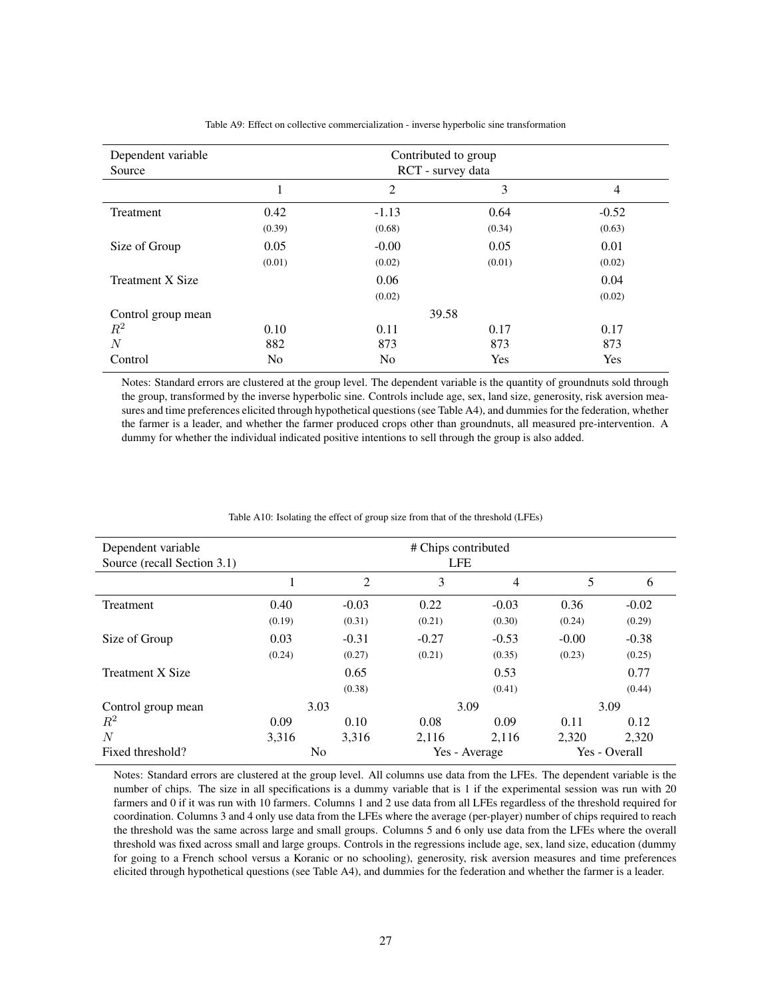| Dependent variable<br>Source | Contributed to group<br>RCT - survey data |                |        |                |  |  |
|------------------------------|-------------------------------------------|----------------|--------|----------------|--|--|
|                              |                                           | 2              | 3      | $\overline{4}$ |  |  |
| <b>Treatment</b>             | 0.42                                      | $-1.13$        | 0.64   | $-0.52$        |  |  |
|                              | (0.39)                                    | (0.68)         | (0.34) | (0.63)         |  |  |
| Size of Group                | 0.05                                      | $-0.00$        | 0.05   | 0.01           |  |  |
|                              | (0.01)                                    | (0.02)         | (0.01) | (0.02)         |  |  |
| <b>Treatment X Size</b>      |                                           | 0.06           |        | 0.04           |  |  |
|                              |                                           | (0.02)         |        | (0.02)         |  |  |
| Control group mean           |                                           | 39.58          |        |                |  |  |
| $\,R^2$                      | 0.10                                      | 0.11           | 0.17   | 0.17           |  |  |
| N                            | 882                                       | 873            | 873    | 873            |  |  |
| Control                      | N <sub>0</sub>                            | N <sub>0</sub> | Yes    | Yes            |  |  |

Table A9: Effect on collective commercialization - inverse hyperbolic sine transformation

Notes: Standard errors are clustered at the group level. The dependent variable is the quantity of groundnuts sold through the group, transformed by the inverse hyperbolic sine. Controls include age, sex, land size, generosity, risk aversion measures and time preferences elicited through hypothetical questions (see Table A4), and dummies for the federation, whether the farmer is a leader, and whether the farmer produced crops other than groundnuts, all measured pre-intervention. A dummy for whether the individual indicated positive intentions to sell through the group is also added.

| Dependent variable<br>Source (recall Section 3.1) |        |                | # Chips contributed<br><b>LFE</b> |               |         |               |
|---------------------------------------------------|--------|----------------|-----------------------------------|---------------|---------|---------------|
|                                                   | 1      | $\overline{2}$ | 3                                 | 4             | 5       | 6             |
| Treatment                                         | 0.40   | $-0.03$        | 0.22                              | $-0.03$       | 0.36    | $-0.02$       |
|                                                   | (0.19) | (0.31)         | (0.21)                            | (0.30)        | (0.24)  | (0.29)        |
| Size of Group                                     | 0.03   | $-0.31$        | $-0.27$                           | $-0.53$       | $-0.00$ | $-0.38$       |
|                                                   | (0.24) | (0.27)         | (0.21)                            | (0.35)        | (0.23)  | (0.25)        |
| <b>Treatment X Size</b>                           |        | 0.65           |                                   | 0.53          |         | 0.77          |
|                                                   |        | (0.38)         |                                   | (0.41)        |         | (0.44)        |
| Control group mean                                | 3.03   |                |                                   | 3.09          |         | 3.09          |
| $\,R^2$                                           | 0.09   | 0.10           | 0.08                              | 0.09          | 0.11    | 0.12          |
| $\overline{N}$                                    | 3.316  | 3.316          | 2.116                             | 2,116         | 2.320   | 2,320         |
| Fixed threshold?                                  |        | N <sub>0</sub> |                                   | Yes - Average |         | Yes - Overall |

Table A10: Isolating the effect of group size from that of the threshold (LFEs)

Notes: Standard errors are clustered at the group level. All columns use data from the LFEs. The dependent variable is the number of chips. The size in all specifications is a dummy variable that is 1 if the experimental session was run with 20 farmers and 0 if it was run with 10 farmers. Columns 1 and 2 use data from all LFEs regardless of the threshold required for coordination. Columns 3 and 4 only use data from the LFEs where the average (per-player) number of chips required to reach the threshold was the same across large and small groups. Columns 5 and 6 only use data from the LFEs where the overall threshold was fixed across small and large groups. Controls in the regressions include age, sex, land size, education (dummy for going to a French school versus a Koranic or no schooling), generosity, risk aversion measures and time preferences elicited through hypothetical questions (see Table A4), and dummies for the federation and whether the farmer is a leader.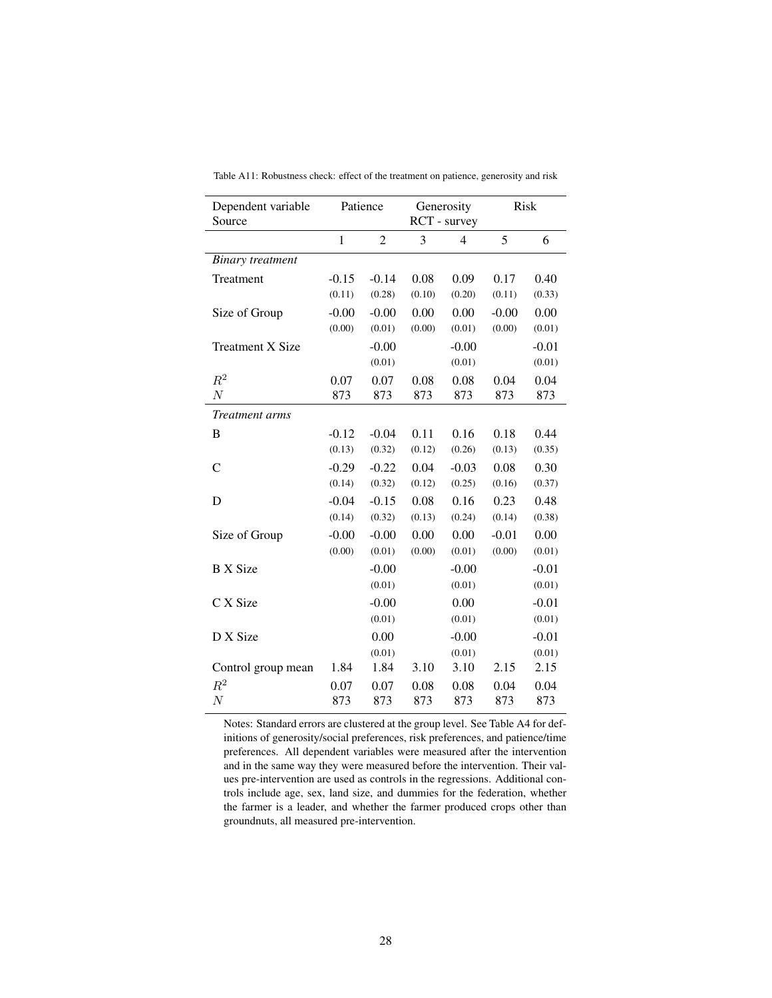| Dependent variable<br>Source | Patience     |                | Generosity<br>RCT - survey |         | <b>Risk</b> |         |
|------------------------------|--------------|----------------|----------------------------|---------|-------------|---------|
|                              | $\mathbf{1}$ | $\overline{2}$ | 3                          | 4       | 5           | 6       |
| <b>Binary</b> treatment      |              |                |                            |         |             |         |
| Treatment                    | $-0.15$      | $-0.14$        | 0.08                       | 0.09    | 0.17        | 0.40    |
|                              | (0.11)       | (0.28)         | (0.10)                     | (0.20)  | (0.11)      | (0.33)  |
| Size of Group                | $-0.00$      | $-0.00$        | 0.00                       | 0.00    | $-0.00$     | 0.00    |
|                              | (0.00)       | (0.01)         | (0.00)                     | (0.01)  | (0.00)      | (0.01)  |
| <b>Treatment X Size</b>      |              | $-0.00$        |                            | $-0.00$ |             | $-0.01$ |
|                              |              | (0.01)         |                            | (0.01)  |             | (0.01)  |
| $R^2$                        | 0.07         | 0.07           | 0.08                       | 0.08    | 0.04        | 0.04    |
| $\cal N$                     | 873          | 873            | 873                        | 873     | 873         | 873     |
| Treatment arms               |              |                |                            |         |             |         |
| B                            | $-0.12$      | $-0.04$        | 0.11                       | 0.16    | 0.18        | 0.44    |
|                              | (0.13)       | (0.32)         | (0.12)                     | (0.26)  | (0.13)      | (0.35)  |
| $\mathcal{C}$                | $-0.29$      | $-0.22$        | 0.04                       | $-0.03$ | 0.08        | 0.30    |
|                              | (0.14)       | (0.32)         | (0.12)                     | (0.25)  | (0.16)      | (0.37)  |
| D                            | $-0.04$      | $-0.15$        | 0.08                       | 0.16    | 0.23        | 0.48    |
|                              | (0.14)       | (0.32)         | (0.13)                     | (0.24)  | (0.14)      | (0.38)  |
| Size of Group                | $-0.00$      | $-0.00$        | 0.00                       | 0.00    | $-0.01$     | 0.00    |
|                              | (0.00)       | (0.01)         | (0.00)                     | (0.01)  | (0.00)      | (0.01)  |
| <b>B</b> X Size              |              | $-0.00$        |                            | $-0.00$ |             | $-0.01$ |
|                              |              | (0.01)         |                            | (0.01)  |             | (0.01)  |
| C X Size                     |              | $-0.00$        |                            | 0.00    |             | $-0.01$ |
|                              |              | (0.01)         |                            | (0.01)  |             | (0.01)  |
| D X Size                     |              | 0.00           |                            | $-0.00$ |             | $-0.01$ |
|                              |              | (0.01)         |                            | (0.01)  |             | (0.01)  |
| Control group mean           | 1.84         | 1.84           | 3.10                       | 3.10    | 2.15        | 2.15    |
| $R^2$                        | 0.07         | 0.07           | 0.08                       | 0.08    | 0.04        | 0.04    |
| $\boldsymbol{N}$             | 873          | 873            | 873                        | 873     | 873         | 873     |

Table A11: Robustness check: effect of the treatment on patience, generosity and risk

Notes: Standard errors are clustered at the group level. See Table A4 for definitions of generosity/social preferences, risk preferences, and patience/time preferences. All dependent variables were measured after the intervention and in the same way they were measured before the intervention. Their values pre-intervention are used as controls in the regressions. Additional controls include age, sex, land size, and dummies for the federation, whether the farmer is a leader, and whether the farmer produced crops other than groundnuts, all measured pre-intervention.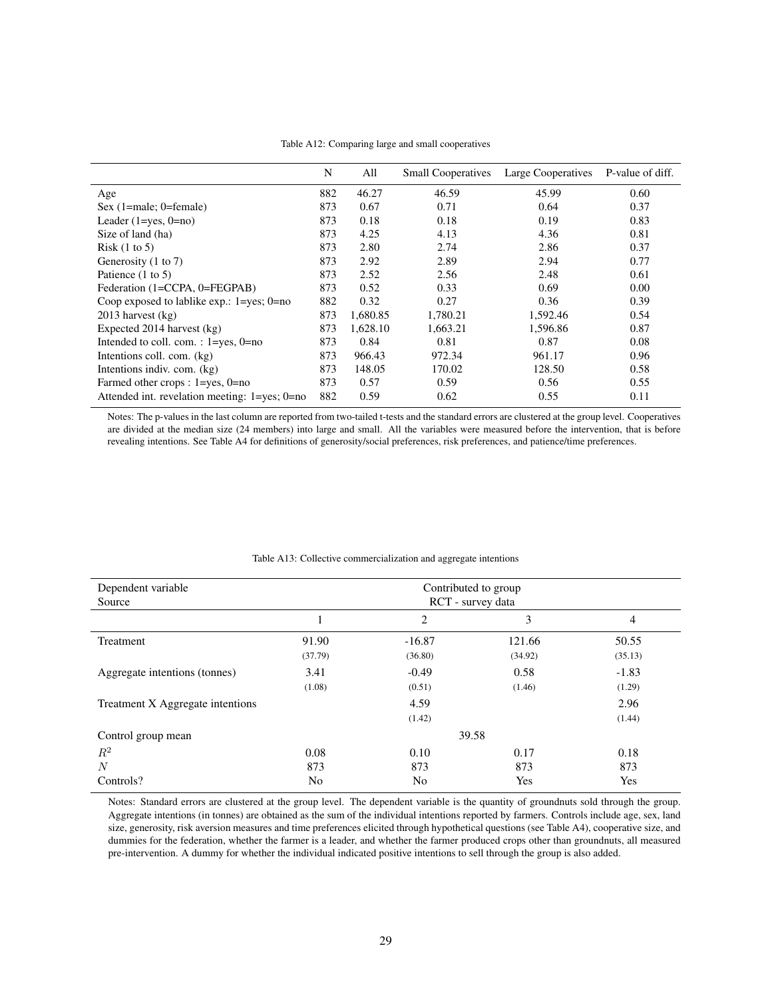|                                                        | N   | All      | <b>Small Cooperatives</b> | Large Cooperatives | P-value of diff. |
|--------------------------------------------------------|-----|----------|---------------------------|--------------------|------------------|
| Age                                                    | 882 | 46.27    | 46.59                     | 45.99              | 0.60             |
| Sex $(1)$ =male; 0=female)                             | 873 | 0.67     | 0.71                      | 0.64               | 0.37             |
| Leader $(1 = yes, 0 = no)$                             | 873 | 0.18     | 0.18                      | 0.19               | 0.83             |
| Size of land (ha)                                      | 873 | 4.25     | 4.13                      | 4.36               | 0.81             |
| Risk(1 to 5)                                           | 873 | 2.80     | 2.74                      | 2.86               | 0.37             |
| Generosity (1 to 7)                                    | 873 | 2.92     | 2.89                      | 2.94               | 0.77             |
| Patience $(1 \text{ to } 5)$                           | 873 | 2.52     | 2.56                      | 2.48               | 0.61             |
| Federation (1=CCPA, 0=FEGPAB)                          | 873 | 0.52     | 0.33                      | 0.69               | 0.00             |
| Coop exposed to lablike $exp.: 1 = yes: 0 = no$        | 882 | 0.32     | 0.27                      | 0.36               | 0.39             |
| $2013$ harvest (kg)                                    | 873 | 1,680.85 | 1,780.21                  | 1,592.46           | 0.54             |
| Expected 2014 harvest (kg)                             | 873 | 1,628.10 | 1,663.21                  | 1,596.86           | 0.87             |
| Intended to coll. com. : $1 = yes$ , $0 = no$          | 873 | 0.84     | 0.81                      | 0.87               | 0.08             |
| Intentions coll. com. (kg)                             | 873 | 966.43   | 972.34                    | 961.17             | 0.96             |
| Intentions indiv. com. (kg)                            | 873 | 148.05   | 170.02                    | 128.50             | 0.58             |
| Farmed other crops : $1 = yes$ , $0 = no$              | 873 | 0.57     | 0.59                      | 0.56               | 0.55             |
| Attended int. revelation meeting: $1 = yes$ ; $0 = no$ | 882 | 0.59     | 0.62                      | 0.55               | 0.11             |

Table A12: Comparing large and small cooperatives

Notes: The p-values in the last column are reported from two-tailed t-tests and the standard errors are clustered at the group level. Cooperatives are divided at the median size (24 members) into large and small. All the variables were measured before the intervention, that is before revealing intentions. See Table A4 for definitions of generosity/social preferences, risk preferences, and patience/time preferences.

| Dependent variable<br>Source     | Contributed to group<br>RCT - survey data |                    |                 |                    |  |  |
|----------------------------------|-------------------------------------------|--------------------|-----------------|--------------------|--|--|
|                                  |                                           | 2                  | 3               | $\overline{4}$     |  |  |
| Treatment                        | 91.90                                     | $-16.87$           | 121.66          | 50.55              |  |  |
| Aggregate intentions (tonnes)    | (37.79)<br>3.41                           | (36.80)<br>$-0.49$ | (34.92)<br>0.58 | (35.13)<br>$-1.83$ |  |  |
|                                  | (1.08)                                    | (0.51)             | (1.46)          | (1.29)             |  |  |
| Treatment X Aggregate intentions |                                           | 4.59               |                 | 2.96               |  |  |
|                                  |                                           | (1.42)             |                 | (1.44)             |  |  |
| Control group mean               |                                           |                    | 39.58           |                    |  |  |
| $R^2$                            | 0.08                                      | 0.10               | 0.17            | 0.18               |  |  |
| $\overline{N}$                   | 873                                       | 873                | 873             | 873                |  |  |
| Controls?                        | No                                        | No                 | Yes             | Yes                |  |  |

#### Table A13: Collective commercialization and aggregate intentions

Notes: Standard errors are clustered at the group level. The dependent variable is the quantity of groundnuts sold through the group. Aggregate intentions (in tonnes) are obtained as the sum of the individual intentions reported by farmers. Controls include age, sex, land size, generosity, risk aversion measures and time preferences elicited through hypothetical questions (see Table A4), cooperative size, and dummies for the federation, whether the farmer is a leader, and whether the farmer produced crops other than groundnuts, all measured pre-intervention. A dummy for whether the individual indicated positive intentions to sell through the group is also added.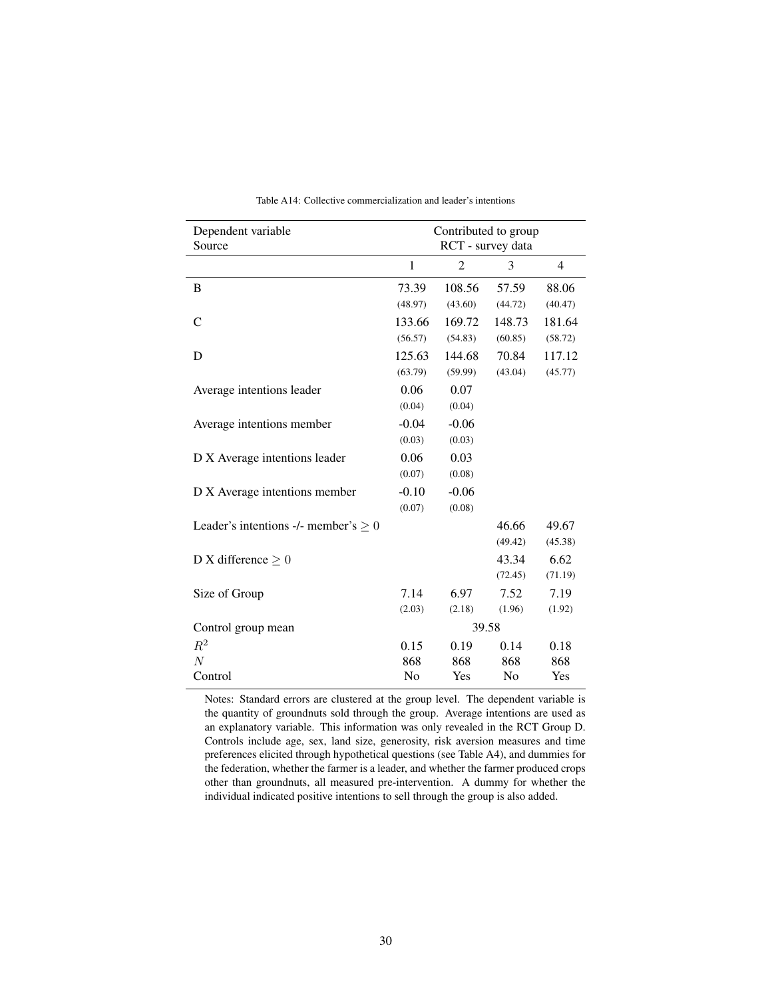| Dependent variable<br>Source              | Contributed to group<br>RCT - survey data |                |                |         |  |
|-------------------------------------------|-------------------------------------------|----------------|----------------|---------|--|
|                                           | 1                                         | $\overline{2}$ | 3              | 4       |  |
| B                                         | 73.39                                     | 108.56         | 57.59          | 88.06   |  |
|                                           | (48.97)                                   | (43.60)        | (44.72)        | (40.47) |  |
| $\mathsf{C}$                              | 133.66                                    | 169.72         | 148.73         | 181.64  |  |
|                                           | (56.57)                                   | (54.83)        | (60.85)        | (58.72) |  |
| D                                         | 125.63                                    | 144.68         | 70.84          | 117.12  |  |
|                                           | (63.79)                                   | (59.99)        | (43.04)        | (45.77) |  |
| Average intentions leader                 | 0.06                                      | 0.07           |                |         |  |
|                                           | (0.04)                                    | (0.04)         |                |         |  |
| Average intentions member                 | $-0.04$                                   | $-0.06$        |                |         |  |
|                                           | (0.03)                                    | (0.03)         |                |         |  |
| D X Average intentions leader             | 0.06                                      | 0.03           |                |         |  |
|                                           | (0.07)                                    | (0.08)         |                |         |  |
| D X Average intentions member             | $-0.10$                                   | $-0.06$        |                |         |  |
|                                           | (0.07)                                    | (0.08)         |                |         |  |
| Leader's intentions -/- member's $\geq 0$ |                                           |                | 46.66          | 49.67   |  |
|                                           |                                           |                | (49.42)        | (45.38) |  |
| D X difference $\geq 0$                   |                                           |                | 43.34          | 6.62    |  |
|                                           |                                           |                | (72.45)        | (71.19) |  |
| Size of Group                             | 7.14                                      | 6.97           | 7.52           | 7.19    |  |
|                                           | (2.03)                                    | (2.18)         | (1.96)         | (1.92)  |  |
| Control group mean                        |                                           |                | 39.58          |         |  |
| $R^2$                                     | 0.15                                      | 0.19           | 0.14           | 0.18    |  |
| $\boldsymbol{N}$                          | 868                                       | 868            | 868            | 868     |  |
| Control                                   | N <sub>o</sub>                            | Yes            | N <sub>o</sub> | Yes     |  |

| Table A14: Collective commercialization and leader's intentions |  |
|-----------------------------------------------------------------|--|
|-----------------------------------------------------------------|--|

Notes: Standard errors are clustered at the group level. The dependent variable is the quantity of groundnuts sold through the group. Average intentions are used as an explanatory variable. This information was only revealed in the RCT Group D. Controls include age, sex, land size, generosity, risk aversion measures and time preferences elicited through hypothetical questions (see Table A4), and dummies for the federation, whether the farmer is a leader, and whether the farmer produced crops other than groundnuts, all measured pre-intervention. A dummy for whether the individual indicated positive intentions to sell through the group is also added.